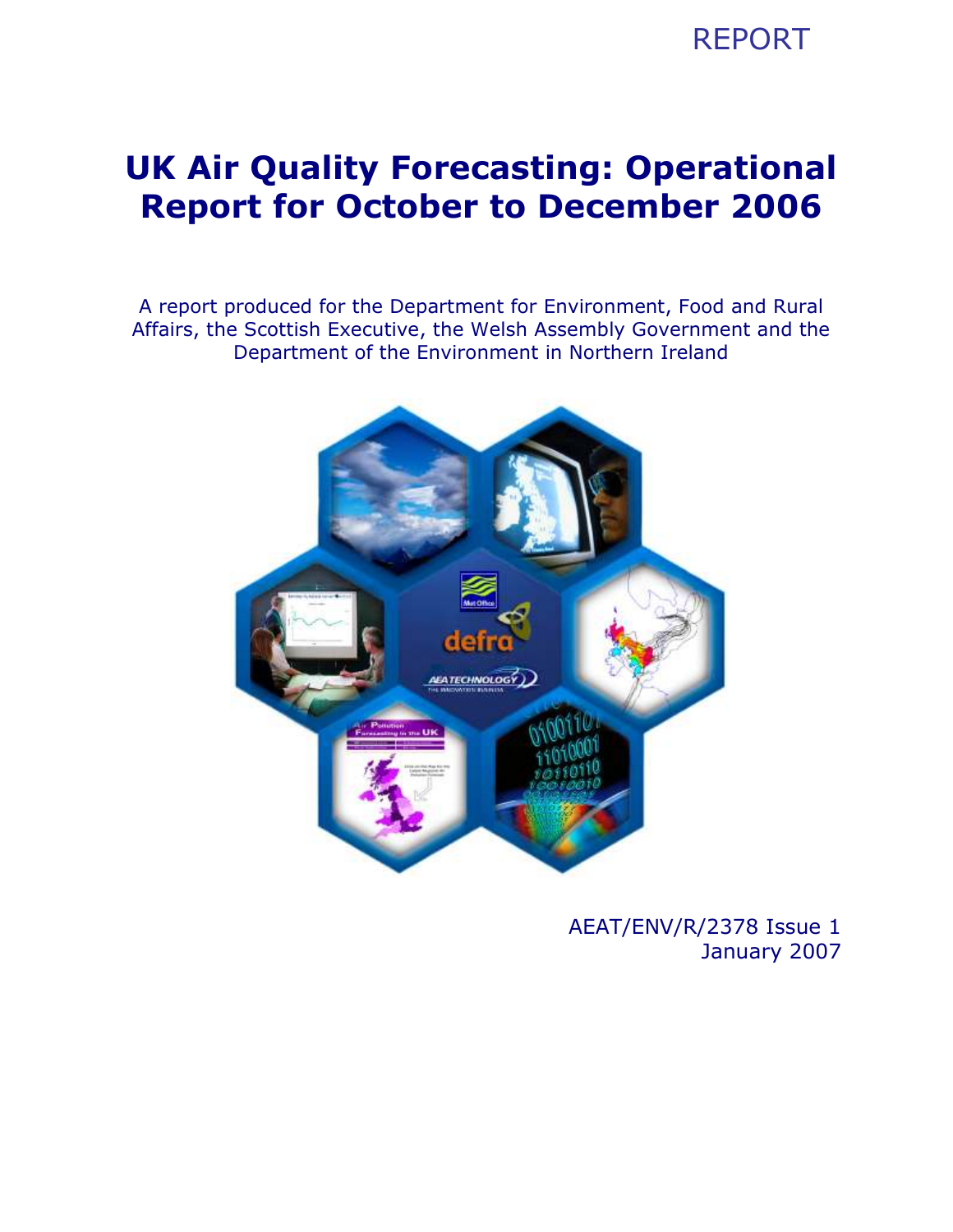

### UK Air Quality Forecasting: Operational Report for October to December 2006

A report produced for the Department for Environment, Food and Rural Affairs, the Scottish Executive, the Welsh Assembly Government and the Department of the Environment in Northern Ireland



AEAT/ENV/R/2378 Issue 1 January 2007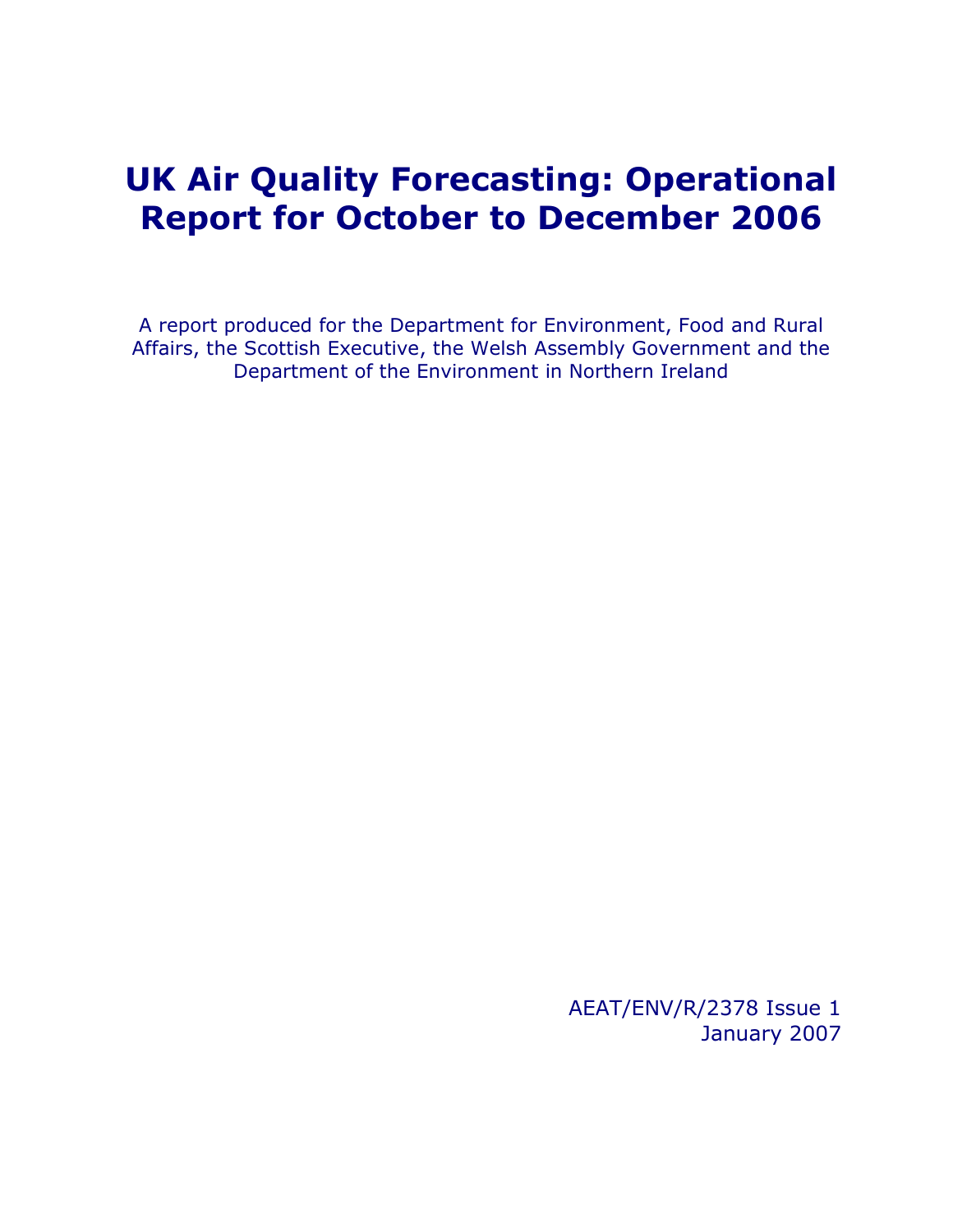### UK Air Quality Forecasting: Operational Report for October to December 2006

A report produced for the Department for Environment, Food and Rural Affairs, the Scottish Executive, the Welsh Assembly Government and the Department of the Environment in Northern Ireland

> AEAT/ENV/R/2378 Issue 1 January 2007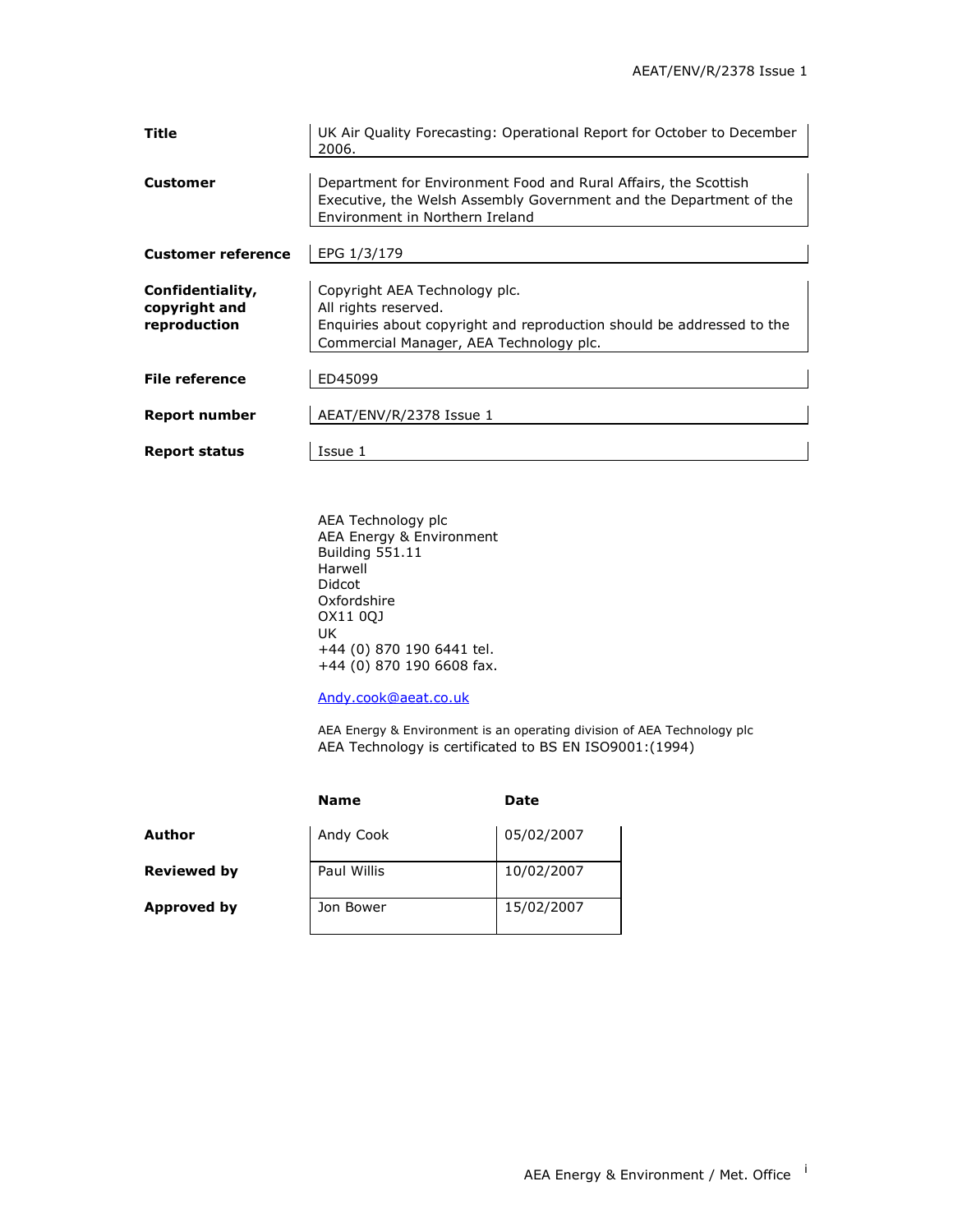| Title                                             | UK Air Quality Forecasting: Operational Report for October to December<br>2006.                                                                                           |
|---------------------------------------------------|---------------------------------------------------------------------------------------------------------------------------------------------------------------------------|
| Customer                                          | Department for Environment Food and Rural Affairs, the Scottish<br>Executive, the Welsh Assembly Government and the Department of the<br>Environment in Northern Ireland  |
| <b>Customer reference</b>                         | EPG 1/3/179                                                                                                                                                               |
| Confidentiality,<br>copyright and<br>reproduction | Copyright AEA Technology plc.<br>All rights reserved.<br>Enquiries about copyright and reproduction should be addressed to the<br>Commercial Manager, AEA Technology plc. |
| <b>File reference</b>                             | ED45099                                                                                                                                                                   |
| <b>Report number</b>                              | AEAT/ENV/R/2378 Issue 1                                                                                                                                                   |
| <b>Report status</b>                              | Issue 1                                                                                                                                                                   |

AEA Technology plc AEA Energy & Environment Building 551.11 Harwell Didcot Oxfordshire OX11 0QJ UK +44 (0) 870 190 6441 tel. +44 (0) 870 190 6608 fax.

Andy.cook@aeat.co.uk

AEA Energy & Environment is an operating division of AEA Technology plc AEA Technology is certificated to BS EN ISO9001:(1994)

|                    | <b>Name</b> | <b>Date</b> |
|--------------------|-------------|-------------|
| Author             | Andy Cook   | 05/02/2007  |
| <b>Reviewed by</b> | Paul Willis | 10/02/2007  |
| Approved by        | Jon Bower   | 15/02/2007  |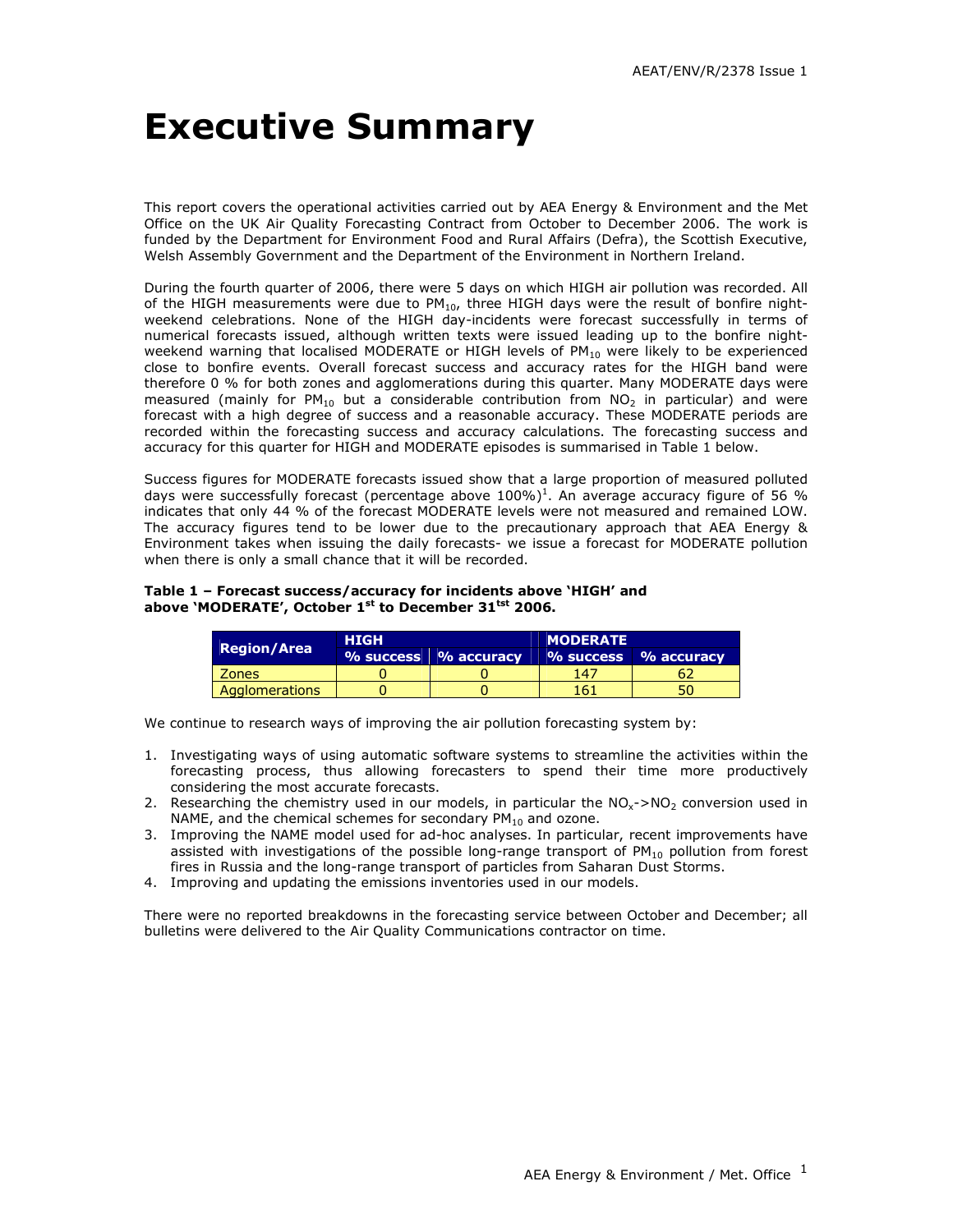### Executive Summary

This report covers the operational activities carried out by AEA Energy & Environment and the Met Office on the UK Air Quality Forecasting Contract from October to December 2006. The work is funded by the Department for Environment Food and Rural Affairs (Defra), the Scottish Executive, Welsh Assembly Government and the Department of the Environment in Northern Ireland.

During the fourth quarter of 2006, there were 5 days on which HIGH air pollution was recorded. All of the HIGH measurements were due to  $PM_{10}$ , three HIGH days were the result of bonfire nightweekend celebrations. None of the HIGH day-incidents were forecast successfully in terms of numerical forecasts issued, although written texts were issued leading up to the bonfire nightweekend warning that localised MODERATE or HIGH levels of  $PM_{10}$  were likely to be experienced close to bonfire events. Overall forecast success and accuracy rates for the HIGH band were therefore 0 % for both zones and agglomerations during this quarter. Many MODERATE days were measured (mainly for  $PM_{10}$  but a considerable contribution from  $NO_2$  in particular) and were forecast with a high degree of success and a reasonable accuracy. These MODERATE periods are recorded within the forecasting success and accuracy calculations. The forecasting success and accuracy for this quarter for HIGH and MODERATE episodes is summarised in Table 1 below.

Success figures for MODERATE forecasts issued show that a large proportion of measured polluted days were successfully forecast (percentage above  $100\%)^1$ . An average accuracy figure of 56 % indicates that only 44 % of the forecast MODERATE levels were not measured and remained LOW. The accuracy figures tend to be lower due to the precautionary approach that AEA Energy & Environment takes when issuing the daily forecasts- we issue a forecast for MODERATE pollution when there is only a small chance that it will be recorded.

#### Table 1 – Forecast success/accuracy for incidents above 'HIGH' and above 'MODERATE', October 1<sup>st</sup> to December 31<sup>tst</sup> 2006.

|                    | <b>HIGH</b> |                      | <b>MODERATE</b> |                      |  |  |  |
|--------------------|-------------|----------------------|-----------------|----------------------|--|--|--|
| <b>Region/Area</b> |             | % success % accuracy |                 | % success % accuracy |  |  |  |
| Zones.             |             |                      | 147             |                      |  |  |  |
| Agglomerations     |             |                      | 161             | 50                   |  |  |  |

We continue to research ways of improving the air pollution forecasting system by:

- 1. Investigating ways of using automatic software systems to streamline the activities within the forecasting process, thus allowing forecasters to spend their time more productively considering the most accurate forecasts.
- 2. Researching the chemistry used in our models, in particular the  $NO<sub>x</sub>$ ->NO<sub>2</sub> conversion used in NAME, and the chemical schemes for secondary  $PM_{10}$  and ozone.
- 3. Improving the NAME model used for ad-hoc analyses. In particular, recent improvements have assisted with investigations of the possible long-range transport of PM $_{10}$  pollution from forest fires in Russia and the long-range transport of particles from Saharan Dust Storms.
- 4. Improving and updating the emissions inventories used in our models.

There were no reported breakdowns in the forecasting service between October and December; all bulletins were delivered to the Air Quality Communications contractor on time.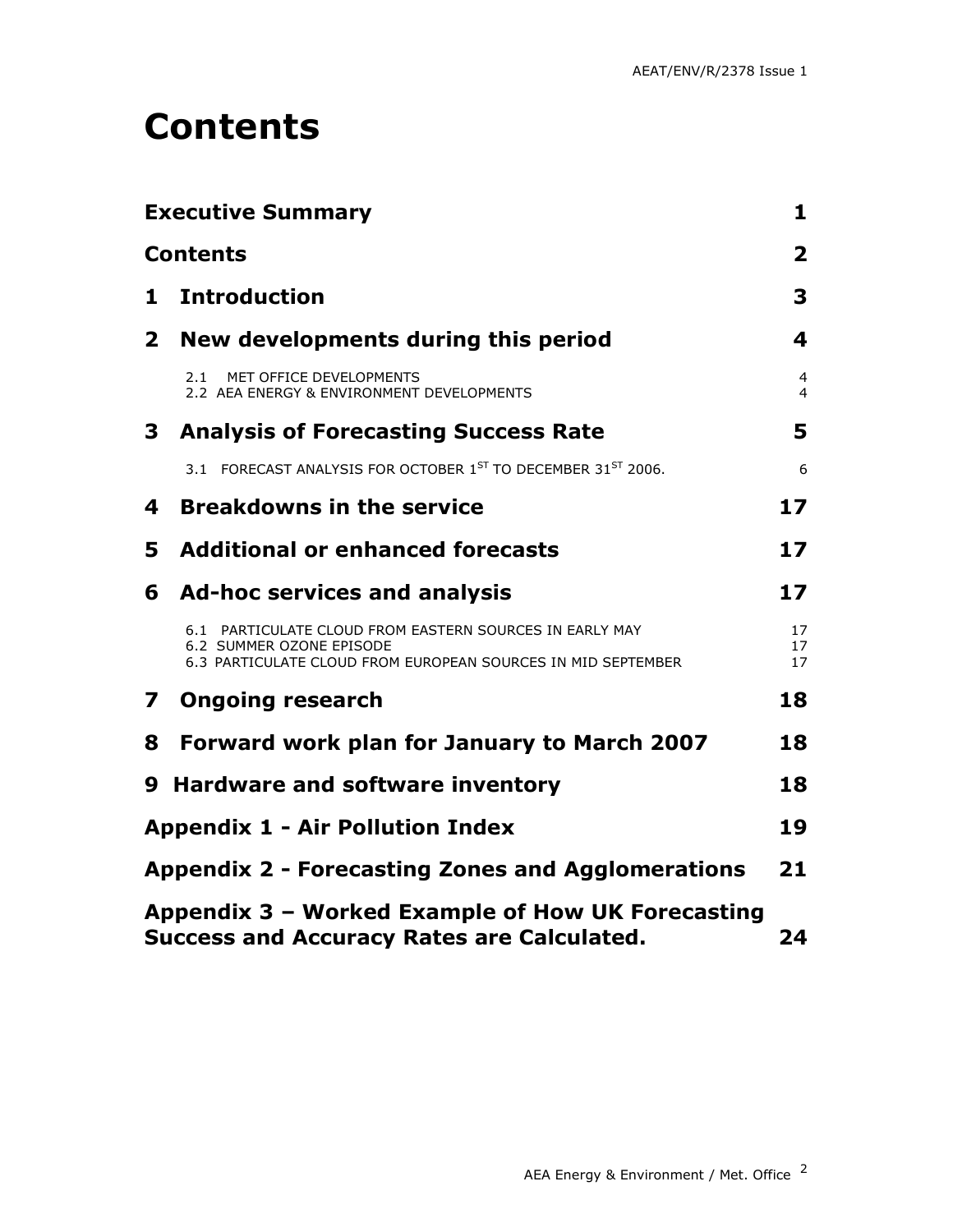## Contents

|              | <b>Executive Summary</b>                                                                                                                               | 1              |
|--------------|--------------------------------------------------------------------------------------------------------------------------------------------------------|----------------|
|              | <b>Contents</b>                                                                                                                                        | $\overline{2}$ |
| 1            | <b>Introduction</b>                                                                                                                                    | 3              |
| $\mathbf{2}$ | New developments during this period                                                                                                                    | 4              |
|              | MET OFFICE DEVELOPMENTS<br>2.1<br>2.2 AEA ENERGY & ENVIRONMENT DEVELOPMENTS                                                                            | 4<br>4         |
| 3            | <b>Analysis of Forecasting Success Rate</b>                                                                                                            | 5              |
|              | 3.1 FORECAST ANALYSIS FOR OCTOBER 1ST TO DECEMBER 31ST 2006.                                                                                           | 6              |
| 4            | <b>Breakdowns in the service</b>                                                                                                                       | 17             |
| 5.           | <b>Additional or enhanced forecasts</b>                                                                                                                | 17             |
| 6            | <b>Ad-hoc services and analysis</b>                                                                                                                    | 17             |
|              | 6.1<br>PARTICULATE CLOUD FROM EASTERN SOURCES IN EARLY MAY<br>6.2 SUMMER OZONE EPISODE<br>6.3 PARTICULATE CLOUD FROM EUROPEAN SOURCES IN MID SEPTEMBER | 17<br>17<br>17 |
| $\mathbf{7}$ | <b>Ongoing research</b>                                                                                                                                | 18             |
| 8            | Forward work plan for January to March 2007                                                                                                            | 18             |
|              | 9 Hardware and software inventory                                                                                                                      | 18             |
|              | <b>Appendix 1 - Air Pollution Index</b>                                                                                                                | 19             |
|              | <b>Appendix 2 - Forecasting Zones and Agglomerations</b>                                                                                               | 21             |
|              | Appendix 3 – Worked Example of How UK Forecasting<br><b>Success and Accuracy Rates are Calculated.</b>                                                 | 24             |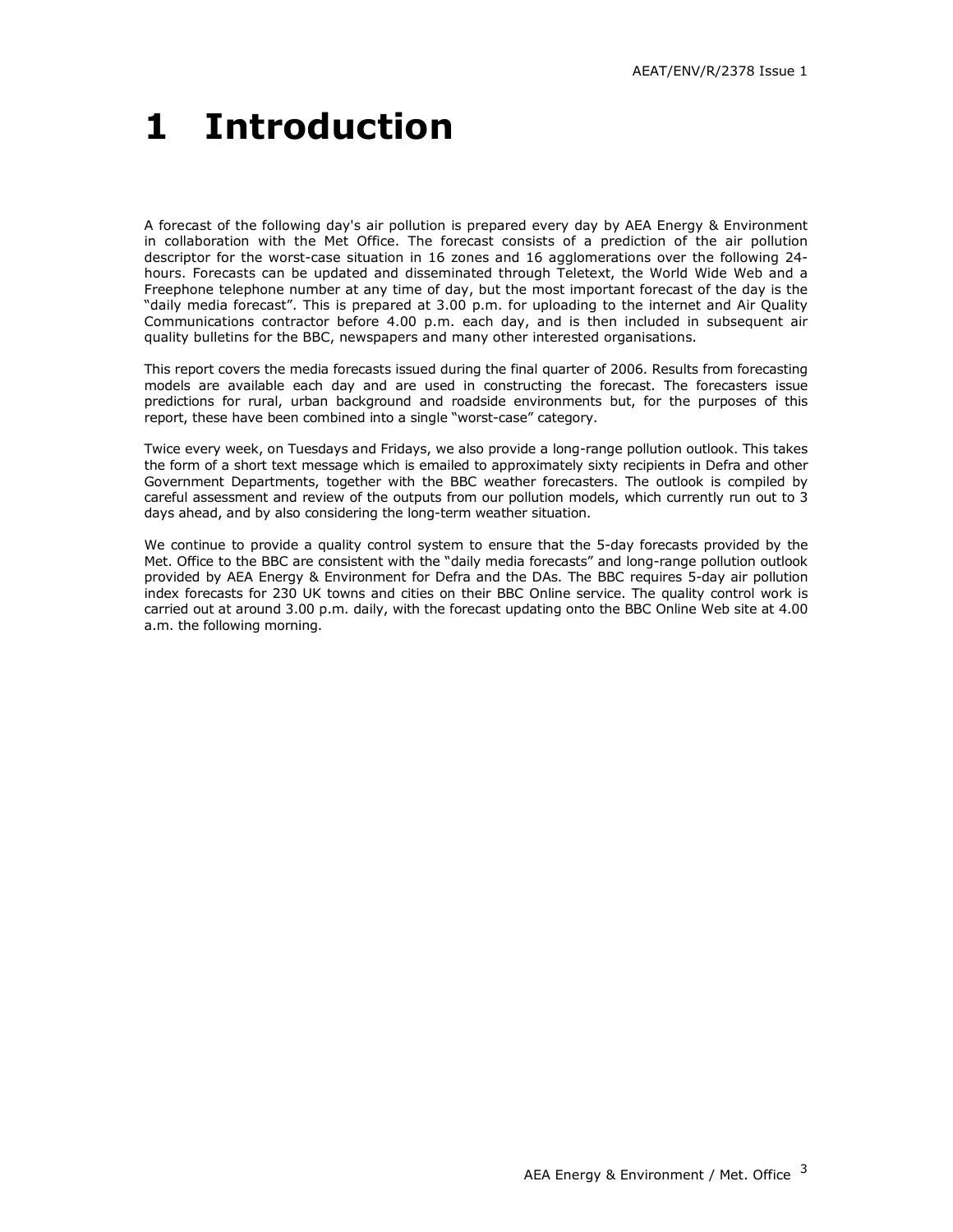## 1 Introduction

A forecast of the following day's air pollution is prepared every day by AEA Energy & Environment in collaboration with the Met Office. The forecast consists of a prediction of the air pollution descriptor for the worst-case situation in 16 zones and 16 agglomerations over the following 24 hours. Forecasts can be updated and disseminated through Teletext, the World Wide Web and a Freephone telephone number at any time of day, but the most important forecast of the day is the "daily media forecast". This is prepared at 3.00 p.m. for uploading to the internet and Air Quality Communications contractor before 4.00 p.m. each day, and is then included in subsequent air quality bulletins for the BBC, newspapers and many other interested organisations.

This report covers the media forecasts issued during the final quarter of 2006. Results from forecasting models are available each day and are used in constructing the forecast. The forecasters issue predictions for rural, urban background and roadside environments but, for the purposes of this report, these have been combined into a single "worst-case" category.

Twice every week, on Tuesdays and Fridays, we also provide a long-range pollution outlook. This takes the form of a short text message which is emailed to approximately sixty recipients in Defra and other Government Departments, together with the BBC weather forecasters. The outlook is compiled by careful assessment and review of the outputs from our pollution models, which currently run out to 3 days ahead, and by also considering the long-term weather situation.

We continue to provide a quality control system to ensure that the 5-day forecasts provided by the Met. Office to the BBC are consistent with the "daily media forecasts" and long-range pollution outlook provided by AEA Energy & Environment for Defra and the DAs. The BBC requires 5-day air pollution index forecasts for 230 UK towns and cities on their BBC Online service. The quality control work is carried out at around 3.00 p.m. daily, with the forecast updating onto the BBC Online Web site at 4.00 a.m. the following morning.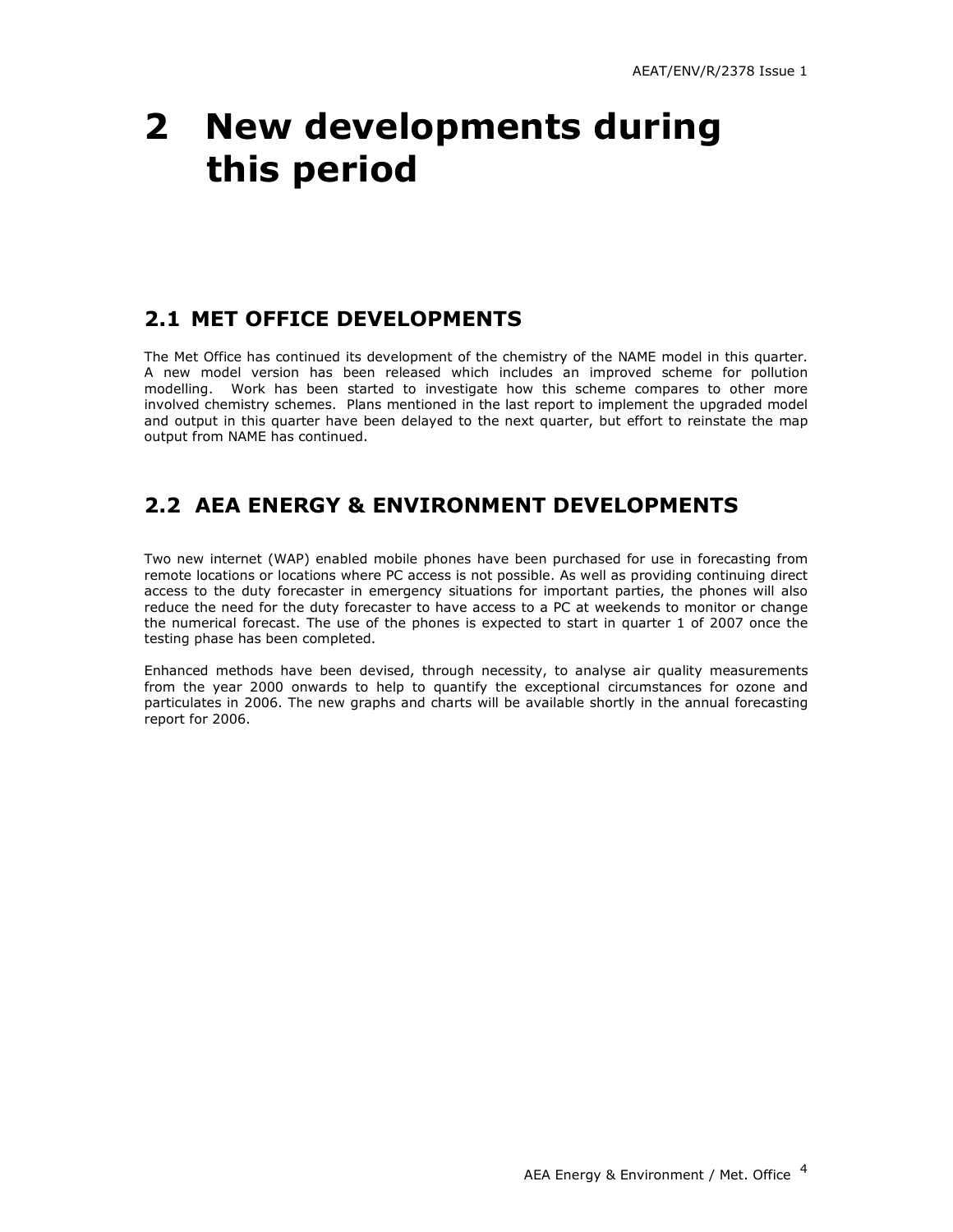## 2 New developments during this period

### 2.1 MET OFFICE DEVELOPMENTS

The Met Office has continued its development of the chemistry of the NAME model in this quarter. A new model version has been released which includes an improved scheme for pollution modelling. Work has been started to investigate how this scheme compares to other more involved chemistry schemes. Plans mentioned in the last report to implement the upgraded model and output in this quarter have been delayed to the next quarter, but effort to reinstate the map output from NAME has continued.

### 2.2 AEA ENERGY & ENVIRONMENT DEVELOPMENTS

Two new internet (WAP) enabled mobile phones have been purchased for use in forecasting from remote locations or locations where PC access is not possible. As well as providing continuing direct access to the duty forecaster in emergency situations for important parties, the phones will also reduce the need for the duty forecaster to have access to a PC at weekends to monitor or change the numerical forecast. The use of the phones is expected to start in quarter 1 of 2007 once the testing phase has been completed.

Enhanced methods have been devised, through necessity, to analyse air quality measurements from the year 2000 onwards to help to quantify the exceptional circumstances for ozone and particulates in 2006. The new graphs and charts will be available shortly in the annual forecasting report for 2006.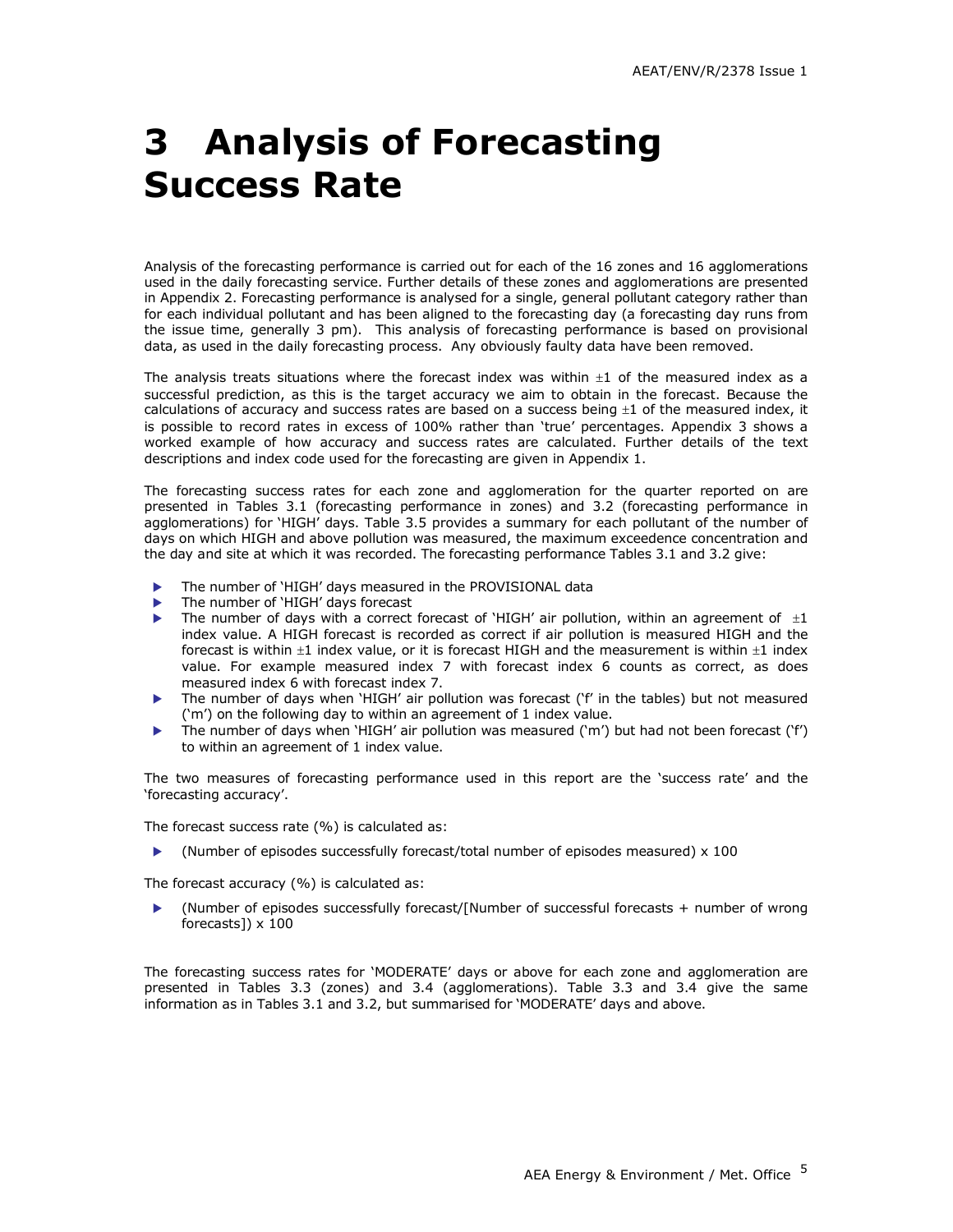## 3 Analysis of Forecasting Success Rate

Analysis of the forecasting performance is carried out for each of the 16 zones and 16 agglomerations used in the daily forecasting service. Further details of these zones and agglomerations are presented in Appendix 2. Forecasting performance is analysed for a single, general pollutant category rather than for each individual pollutant and has been aligned to the forecasting day (a forecasting day runs from the issue time, generally 3 pm). This analysis of forecasting performance is based on provisional data, as used in the daily forecasting process. Any obviously faulty data have been removed.

The analysis treats situations where the forecast index was within  $\pm 1$  of the measured index as a successful prediction, as this is the target accuracy we aim to obtain in the forecast. Because the calculations of accuracy and success rates are based on a success being  $\pm 1$  of the measured index, it is possible to record rates in excess of 100% rather than 'true' percentages. Appendix 3 shows a worked example of how accuracy and success rates are calculated. Further details of the text descriptions and index code used for the forecasting are given in Appendix 1.

The forecasting success rates for each zone and agglomeration for the quarter reported on are presented in Tables 3.1 (forecasting performance in zones) and 3.2 (forecasting performance in agglomerations) for 'HIGH' days. Table 3.5 provides a summary for each pollutant of the number of days on which HIGH and above pollution was measured, the maximum exceedence concentration and the day and site at which it was recorded. The forecasting performance Tables 3.1 and 3.2 give:

- The number of 'HIGH' days measured in the PROVISIONAL data
- The number of 'HIGH' days forecast
- The number of days with a correct forecast of 'HIGH' air pollution, within an agreement of  $\pm 1$ index value. A HIGH forecast is recorded as correct if air pollution is measured HIGH and the forecast is within  $\pm 1$  index value, or it is forecast HIGH and the measurement is within  $\pm 1$  index value. For example measured index 7 with forecast index 6 counts as correct, as does measured index 6 with forecast index 7.
- The number of days when 'HIGH' air pollution was forecast ('f' in the tables) but not measured ('m') on the following day to within an agreement of 1 index value.
- The number of days when 'HIGH' air pollution was measured ('m') but had not been forecast ('f') to within an agreement of 1 index value.

The two measures of forecasting performance used in this report are the 'success rate' and the 'forecasting accuracy'.

The forecast success rate (%) is calculated as:

 $\blacktriangleright$  (Number of episodes successfully forecast/total number of episodes measured)  $\times$  100

The forecast accuracy (%) is calculated as:

 $\blacktriangleright$  (Number of episodes successfully forecast/[Number of successful forecasts + number of wrong forecasts])  $\times$  100

The forecasting success rates for 'MODERATE' days or above for each zone and agglomeration are presented in Tables 3.3 (zones) and 3.4 (agglomerations). Table 3.3 and 3.4 give the same information as in Tables 3.1 and 3.2, but summarised for 'MODERATE' days and above.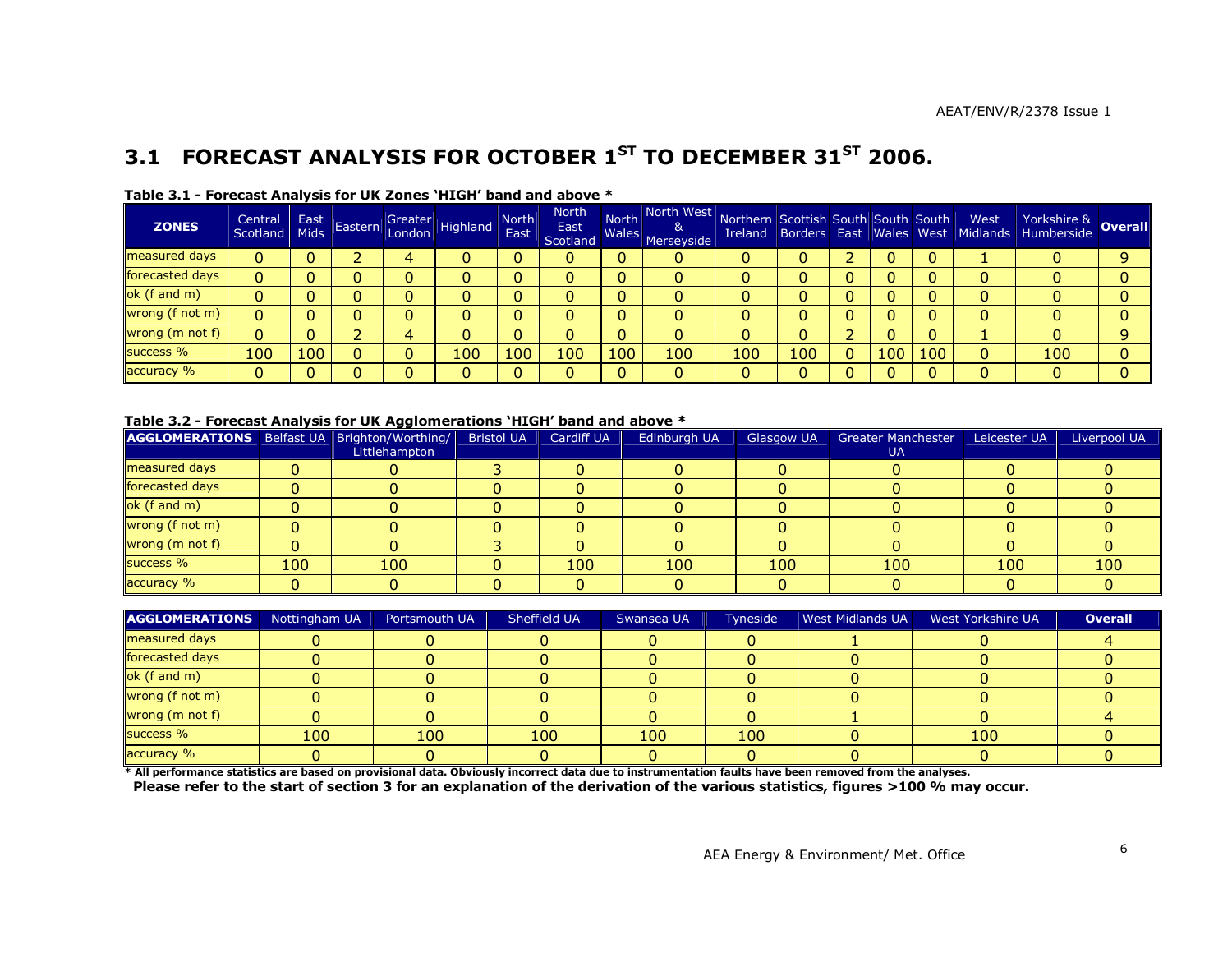### 3.1 FORECAST ANALYSIS FOR OCTOBER  $1^{ST}$  TO DECEMBER 31 $^{ST}$  2006.

| <b>ZONES</b>    | Central<br>Scotland Mids | East $\vert$ | Eastern | London | Greater Highland | North<br>East | North<br>East<br>Scotland | <b>North</b> | North West Northern Scottish South South South<br>ad Wales Merseyside |     |     |     |     | West | Yorkshire &<br>Ireland Borders East Wales West Midlands Humberside | <b>Overall</b> |
|-----------------|--------------------------|--------------|---------|--------|------------------|---------------|---------------------------|--------------|-----------------------------------------------------------------------|-----|-----|-----|-----|------|--------------------------------------------------------------------|----------------|
| measured days   |                          |              |         | 4      |                  | u             |                           | ∩<br>U       |                                                                       |     |     |     |     |      |                                                                    | 9              |
| forecasted days |                          |              |         |        |                  |               |                           | 0            |                                                                       |     |     |     |     |      |                                                                    |                |
| ok(f and m)     |                          |              |         |        |                  |               |                           | 0            |                                                                       |     |     |     |     |      |                                                                    | 0              |
| wrong (f not m) |                          |              |         |        |                  | υ             |                           | U            |                                                                       |     |     |     |     |      |                                                                    |                |
| wrong (m not f) |                          |              |         |        |                  | υ             |                           | $\Omega$     |                                                                       |     |     |     |     |      |                                                                    | q              |
| success %       | 100                      | 100          |         |        | 100              | 100           | 100                       | 100          | 100                                                                   | 100 | 100 | 100 | 100 |      | 100                                                                | 0              |
| accuracy %      |                          |              |         |        |                  |               |                           | $\Omega$     | ∩                                                                     |     |     |     |     |      |                                                                    |                |

#### Table 3.1 - Forecast Analysis for UK Zones 'HIGH' band and above \*

#### Table 3.2 - Forecast Analysis for UK Agglomerations 'HIGH' band and above \*

| AGGLOMERATIONS   Belfast UA   Brighton/Worthing/ |     | Littlehampton | <b>Bristol UA</b> | <b>Cardiff UA</b> | Edinburgh UA | <b>Glasgow UA</b> | <b>Greater Manchester</b><br>UA | Leicester UA | Liverpool UA |
|--------------------------------------------------|-----|---------------|-------------------|-------------------|--------------|-------------------|---------------------------------|--------------|--------------|
| measured days                                    |     |               |                   |                   |              |                   |                                 |              |              |
| forecasted days                                  |     |               |                   |                   |              |                   |                                 |              |              |
| ok (f and m)                                     |     |               |                   |                   |              |                   |                                 |              |              |
| wrong (f not m)                                  |     |               |                   |                   |              |                   |                                 |              |              |
| wrong (m not f)                                  |     |               |                   |                   |              |                   |                                 |              |              |
| success %                                        | 100 | 100           |                   | 100 <sup>1</sup>  | 100          | 100               | 100                             | 100          | 100          |
| accuracy %                                       |     |               |                   |                   |              |                   |                                 |              |              |

| <b>AGGLOMERATIONS</b>                                                                                                                                   | Nottingham UA | Portsmouth UA | Sheffield UA | Swansea UA | Tyneside | <b>West Midlands UA</b> | West Yorkshire UA | <b>Overall</b> |
|---------------------------------------------------------------------------------------------------------------------------------------------------------|---------------|---------------|--------------|------------|----------|-------------------------|-------------------|----------------|
| measured days                                                                                                                                           |               |               |              |            |          |                         |                   |                |
| forecasted days                                                                                                                                         |               |               |              |            |          |                         |                   |                |
| ok(f and m)                                                                                                                                             |               |               |              |            |          |                         |                   |                |
| wrong (f not m)                                                                                                                                         |               |               |              |            |          |                         |                   |                |
| wrong (m not f)                                                                                                                                         |               |               |              |            |          |                         |                   |                |
| success %                                                                                                                                               | 100           | 100           | 100          | 100        | 100      |                         | 100               |                |
| accuracy %                                                                                                                                              |               |               |              |            |          |                         |                   |                |
| * All performance statistics are based on provisional data. Obviously incorrect data due to instrumentation faults have been removed from the analyses. |               |               |              |            |          |                         |                   |                |

Please refer to the start of section 3 for an explanation of the derivation of the various statistics, figures >100 % may occur.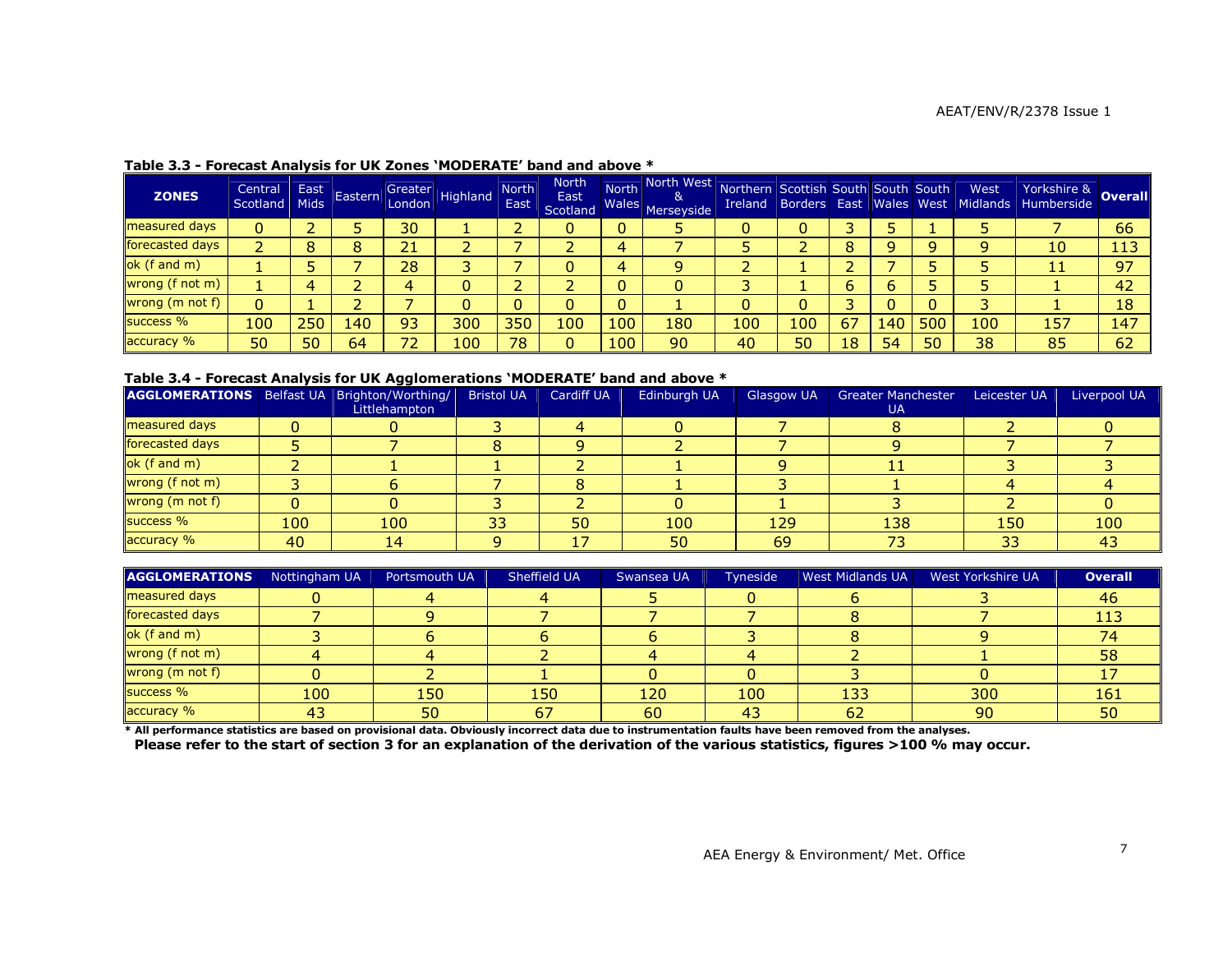| <b>ZONES</b>    | Central<br>Scotland | East<br>Mids <sup>1</sup> | Eastern | London | <b>Arn</b> Greater Highland | <b>North</b><br>East | <b>North</b><br><b>East</b><br>Scotland | <b>North</b><br>Wales | North West<br>&<br>Merseyside | Northern Scottish South South South<br><b>Ireland</b> |     |           |     |     | West<br>Borders East Wales West Midlands | Yorkshire & Overall |     |
|-----------------|---------------------|---------------------------|---------|--------|-----------------------------|----------------------|-----------------------------------------|-----------------------|-------------------------------|-------------------------------------------------------|-----|-----------|-----|-----|------------------------------------------|---------------------|-----|
| measured days   |                     |                           |         | 30     |                             |                      | υ                                       |                       |                               |                                                       |     |           |     |     |                                          |                     | 66  |
| forecasted days |                     |                           |         | 21     |                             |                      |                                         | 4                     |                               |                                                       |     |           |     |     |                                          | 10                  | 113 |
| ok (f and m)    |                     |                           |         | 28     |                             |                      | u                                       | 4                     |                               |                                                       |     |           |     |     |                                          |                     | 97  |
| wrong (f not m) |                     |                           |         |        |                             |                      |                                         |                       | 0                             |                                                       |     |           |     |     |                                          |                     | 42  |
| wrong (m not f) |                     |                           |         |        |                             |                      | U                                       |                       |                               |                                                       |     |           |     |     |                                          |                     | 18  |
| success %       | 100                 | 250                       | 140     | 93     | 300                         | 350                  | 100                                     | 100                   | 180                           | 100                                                   | 100 | 67        | 140 | 500 | 100                                      | 157                 | 147 |
| accuracy %      | 50                  | 50                        | 64      | 72     | 100                         | 78                   | 0                                       | 100                   | 90                            | 40                                                    | 50  | <b>18</b> | 54  | 50  | 38                                       | 85                  | 62  |

#### Table 3.3 - Forecast Analysis for UK Zones 'MODERATE' band and above \*

#### Table 3.4 - Forecast Analysis for UK Agglomerations 'MODERATE' band and above \*

| <b>AGGLOMERATIONS</b>   Belfast UA   Brighton/Worthing/ |     | Littlehampton | <b>Bristol UA</b> | <b>Cardiff UA</b> | Edinburgh UA | Glasgow UA | <b>Greater Manchester</b><br>UA. | Leicester UA | Liverpool UA |
|---------------------------------------------------------|-----|---------------|-------------------|-------------------|--------------|------------|----------------------------------|--------------|--------------|
| measured days                                           |     |               |                   |                   |              |            |                                  |              |              |
| forecasted days                                         |     |               |                   |                   |              |            |                                  |              |              |
| ok (f and m)                                            |     |               |                   |                   |              |            | 1 L                              |              |              |
| wrong (f not m)                                         |     |               |                   |                   |              |            |                                  |              |              |
| wrong (m not f)                                         |     |               |                   |                   |              |            |                                  |              |              |
| success %                                               | 100 | 100           | 33                | 50                | 100          | 129        | 138                              | 150          | 100          |
| accuracy %                                              | 40  |               |                   |                   | 50           | 69         |                                  | 33           |              |

| <b>AGGLOMERATIONS</b>                                                                                                                                   | Nottingham UA | Portsmouth UA | Sheffield UA | Swansea UA | Tyneside | <b>West Midlands UA</b> | West Yorkshire UA | <b>Overall</b> |
|---------------------------------------------------------------------------------------------------------------------------------------------------------|---------------|---------------|--------------|------------|----------|-------------------------|-------------------|----------------|
| measured days                                                                                                                                           |               |               |              |            |          |                         |                   | 46             |
| forecasted days                                                                                                                                         |               |               |              |            |          |                         |                   | 113            |
| ok (f and m)                                                                                                                                            |               |               |              |            |          |                         |                   |                |
| wrong (f not m)                                                                                                                                         |               |               |              |            |          |                         |                   | 58             |
| wrong (m not f)                                                                                                                                         |               |               |              |            |          |                         |                   |                |
| success %                                                                                                                                               | $100^{\circ}$ | 150           | 150          | 120        | 100      | 133                     | 300               | 161            |
| accuracy %                                                                                                                                              |               | 50            | 67           | 60         |          | 62                      | 90                | 50             |
| * All performance statistics are based on provisional data. Obviously incorrect data due to instrumentation faults have been removed from the analyses. |               |               |              |            |          |                         |                   |                |

Please refer to the start of section 3 for an explanation of the derivation of the various statistics, figures >100 % may occur.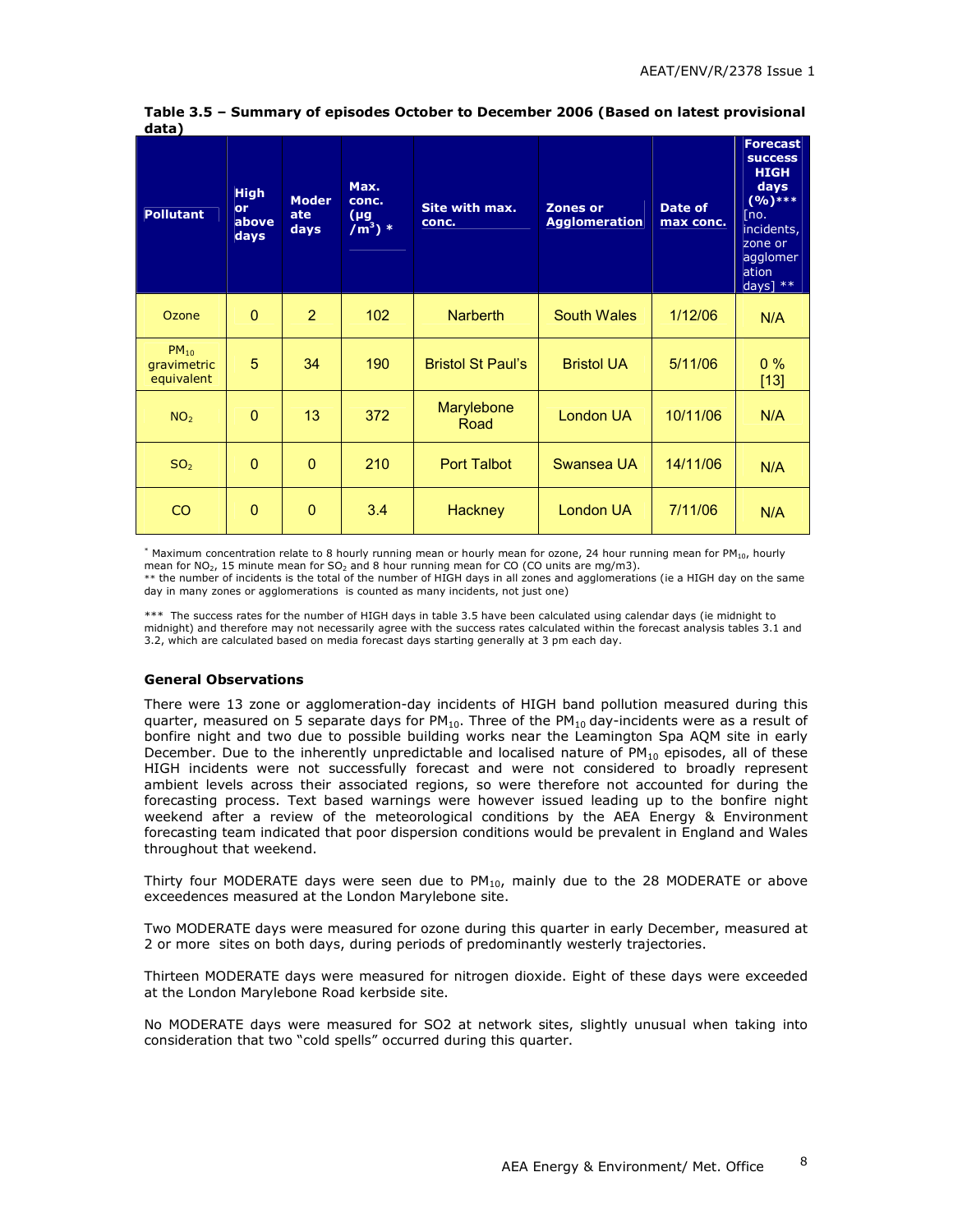| <b>Pollutant</b>                       | <b>High</b><br>or<br>above<br>days | <b>Moder</b><br>ate<br>days | Max.<br>conc.<br>$(\mu g$<br>/m <sup>3</sup> ) * | Site with max.<br>conc.  | <b>Zones or</b><br><b>Agglomeration</b> | Date of<br>max conc. | <b>Forecast</b><br><b>SUCCESS</b><br><b>HIGH</b><br>days<br>$(9/6)****$<br>[no.]<br>incidents,<br>zone or<br>agglomer<br>ation<br>$days]$ ** |
|----------------------------------------|------------------------------------|-----------------------------|--------------------------------------------------|--------------------------|-----------------------------------------|----------------------|----------------------------------------------------------------------------------------------------------------------------------------------|
| Ozone                                  | $\mathbf{0}$                       | $\overline{2}$              | 102                                              | <b>Narberth</b>          | <b>South Wales</b>                      | 1/12/06              | N/A                                                                                                                                          |
| $PM_{10}$<br>gravimetric<br>equivalent | 5                                  | 34                          | 190                                              | <b>Bristol St Paul's</b> | <b>Bristol UA</b>                       | 5/11/06              | $0\%$<br>$[13]$                                                                                                                              |
| NO <sub>2</sub>                        | $\mathbf{0}$                       | 13                          | 372                                              | Marylebone<br>Road       | <b>London UA</b>                        | 10/11/06             | N/A                                                                                                                                          |
| SO <sub>2</sub>                        | $\mathbf{0}$                       | $\Omega$                    | 210                                              | <b>Port Talbot</b>       | Swansea UA                              | 14/11/06             | N/A                                                                                                                                          |
| <sub>CO</sub>                          | $\mathbf{0}$                       | $\overline{0}$              | 3.4                                              | <b>Hackney</b>           | <b>London UA</b>                        | 7/11/06              | N/A                                                                                                                                          |

#### Table 3.5 – Summary of episodes October to December 2006 (Based on latest provisional data)

\* Maximum concentration relate to 8 hourly running mean or hourly mean for ozone, 24 hour running mean for PM<sub>10</sub>, hourly mean for  $NO<sub>2</sub>$ , 15 minute mean for  $SO<sub>2</sub>$  and 8 hour running mean for CO (CO units are mg/m3).

\*\* the number of incidents is the total of the number of HIGH days in all zones and agglomerations (ie a HIGH day on the same day in many zones or agglomerations is counted as many incidents, not just one)

\*\*\* The success rates for the number of HIGH days in table 3.5 have been calculated using calendar days (ie midnight to midnight) and therefore may not necessarily agree with the success rates calculated within the forecast analysis tables 3.1 and 3.2, which are calculated based on media forecast days starting generally at 3 pm each day.

#### General Observations

There were 13 zone or agglomeration-day incidents of HIGH band pollution measured during this quarter, measured on 5 separate days for  $PM_{10}$ . Three of the  $PM_{10}$  day-incidents were as a result of bonfire night and two due to possible building works near the Leamington Spa AQM site in early December. Due to the inherently unpredictable and localised nature of PM<sub>10</sub> episodes, all of these HIGH incidents were not successfully forecast and were not considered to broadly represent ambient levels across their associated regions, so were therefore not accounted for during the forecasting process. Text based warnings were however issued leading up to the bonfire night weekend after a review of the meteorological conditions by the AEA Energy & Environment forecasting team indicated that poor dispersion conditions would be prevalent in England and Wales throughout that weekend.

Thirty four MODERATE days were seen due to  $PM_{10}$ , mainly due to the 28 MODERATE or above exceedences measured at the London Marylebone site.

Two MODERATE days were measured for ozone during this quarter in early December, measured at 2 or more sites on both days, during periods of predominantly westerly trajectories.

Thirteen MODERATE days were measured for nitrogen dioxide. Eight of these days were exceeded at the London Marylebone Road kerbside site.

No MODERATE days were measured for SO2 at network sites, slightly unusual when taking into consideration that two "cold spells" occurred during this quarter.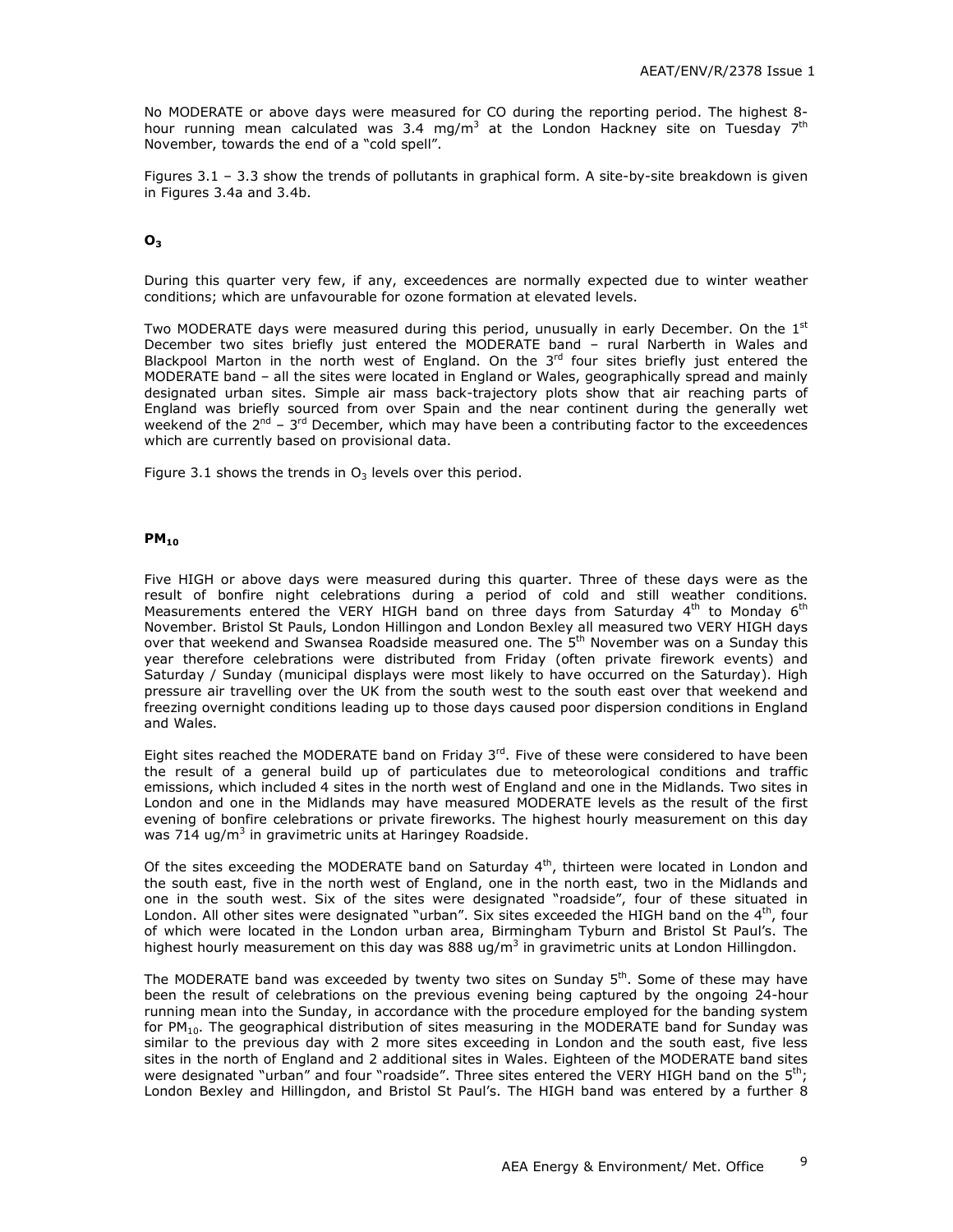No MODERATE or above days were measured for CO during the reporting period. The highest 8 hour running mean calculated was 3.4 mg/m<sup>3</sup> at the London Hackney site on Tuesday 7<sup>th</sup> November, towards the end of a "cold spell".

Figures 3.1 – 3.3 show the trends of pollutants in graphical form. A site-by-site breakdown is given in Figures 3.4a and 3.4b.

#### $O<sub>3</sub>$

During this quarter very few, if any, exceedences are normally expected due to winter weather conditions; which are unfavourable for ozone formation at elevated levels.

Two MODERATE days were measured during this period, unusually in early December. On the  $1<sup>st</sup>$ December two sites briefly just entered the MODERATE band – rural Narberth in Wales and Blackpool Marton in the north west of England. On the  $3<sup>rd</sup>$  four sites briefly just entered the MODERATE band – all the sites were located in England or Wales, geographically spread and mainly designated urban sites. Simple air mass back-trajectory plots show that air reaching parts of England was briefly sourced from over Spain and the near continent during the generally wet weekend of the  $2^{nd}$  –  $3^{rd}$  December, which may have been a contributing factor to the exceedences which are currently based on provisional data.

Figure 3.1 shows the trends in  $O_3$  levels over this period.

#### $PM<sub>10</sub>$

Five HIGH or above days were measured during this quarter. Three of these days were as the result of bonfire night celebrations during a period of cold and still weather conditions. Measurements entered the VERY HIGH band on three days from Saturday 4<sup>th</sup> to Monday 6<sup>th</sup> November. Bristol St Pauls, London Hillingon and London Bexley all measured two VERY HIGH days over that weekend and Swansea Roadside measured one. The 5<sup>th</sup> November was on a Sunday this year therefore celebrations were distributed from Friday (often private firework events) and Saturday / Sunday (municipal displays were most likely to have occurred on the Saturday). High pressure air travelling over the UK from the south west to the south east over that weekend and freezing overnight conditions leading up to those days caused poor dispersion conditions in England and Wales.

Eight sites reached the MODERATE band on Friday  $3<sup>rd</sup>$ . Five of these were considered to have been the result of a general build up of particulates due to meteorological conditions and traffic emissions, which included 4 sites in the north west of England and one in the Midlands. Two sites in London and one in the Midlands may have measured MODERATE levels as the result of the first evening of bonfire celebrations or private fireworks. The highest hourly measurement on this day was 714 ug/m<sup>3</sup> in gravimetric units at Haringey Roadside.

Of the sites exceeding the MODERATE band on Saturday  $4<sup>th</sup>$ , thirteen were located in London and the south east, five in the north west of England, one in the north east, two in the Midlands and one in the south west. Six of the sites were designated "roadside", four of these situated in London. All other sites were designated "urban". Six sites exceeded the HIGH band on the  $4<sup>th</sup>$ , four of which were located in the London urban area, Birmingham Tyburn and Bristol St Paul's. The highest hourly measurement on this day was 888 ug/ $m<sup>3</sup>$  in gravimetric units at London Hillingdon.

The MODERATE band was exceeded by twenty two sites on Sunday  $5<sup>th</sup>$ . Some of these may have been the result of celebrations on the previous evening being captured by the ongoing 24-hour running mean into the Sunday, in accordance with the procedure employed for the banding system for  $PM<sub>10</sub>$ . The geographical distribution of sites measuring in the MODERATE band for Sunday was similar to the previous day with 2 more sites exceeding in London and the south east, five less sites in the north of England and 2 additional sites in Wales. Eighteen of the MODERATE band sites were designated "urban" and four "roadside". Three sites entered the VERY HIGH band on the  $5<sup>th</sup>$ ; London Bexley and Hillingdon, and Bristol St Paul's. The HIGH band was entered by a further 8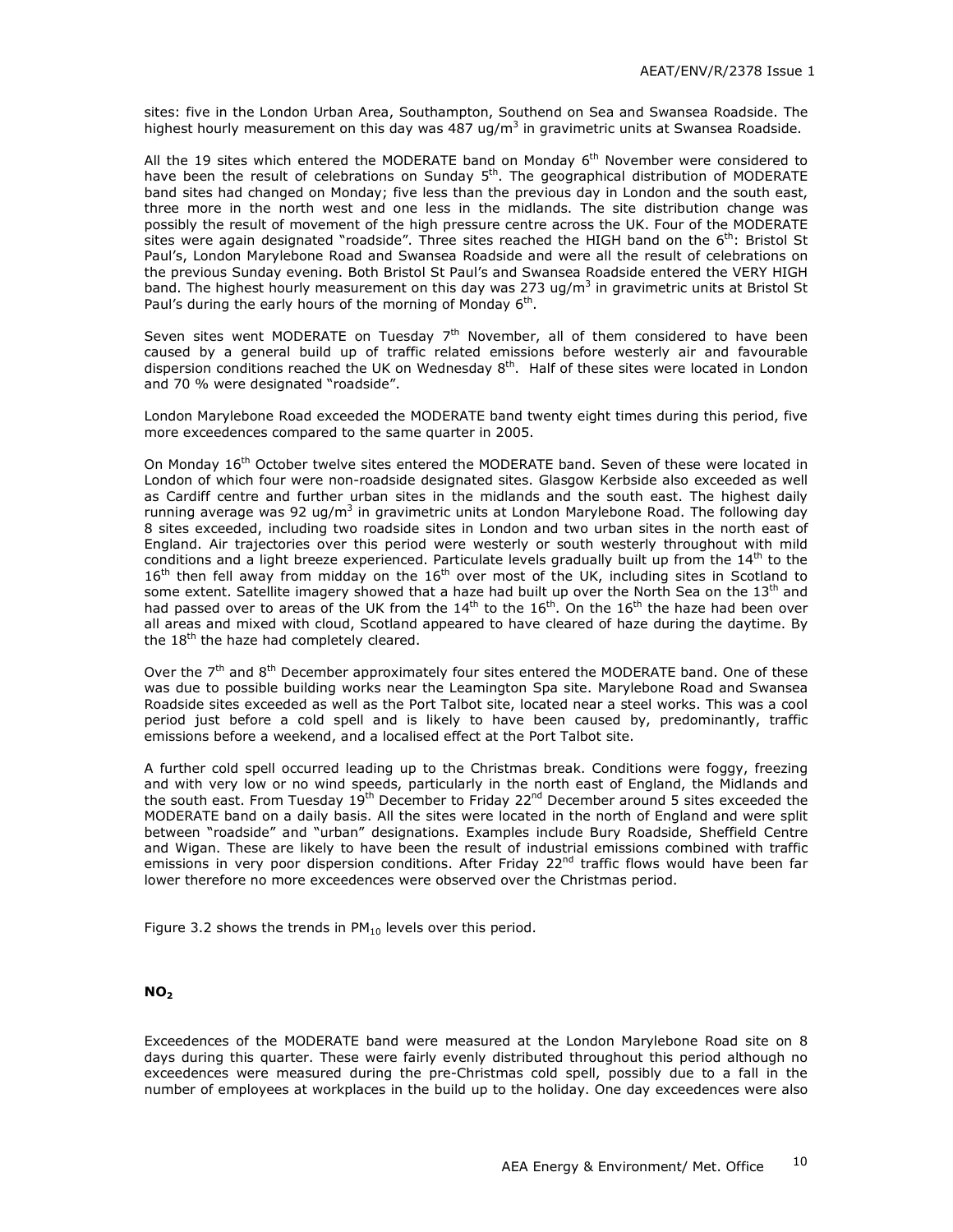sites: five in the London Urban Area, Southampton, Southend on Sea and Swansea Roadside. The highest hourly measurement on this day was 487 ug/m<sup>3</sup> in gravimetric units at Swansea Roadside.

All the 19 sites which entered the MODERATE band on Monday  $6<sup>th</sup>$  November were considered to have been the result of celebrations on Sunday  $5<sup>th</sup>$ . The geographical distribution of MODERATE band sites had changed on Monday; five less than the previous day in London and the south east, three more in the north west and one less in the midlands. The site distribution change was possibly the result of movement of the high pressure centre across the UK. Four of the MODERATE sites were again designated "roadside". Three sites reached the HIGH band on the  $6<sup>th</sup>$ : Bristol St Paul's, London Marylebone Road and Swansea Roadside and were all the result of celebrations on the previous Sunday evening. Both Bristol St Paul's and Swansea Roadside entered the VERY HIGH band. The highest hourly measurement on this day was 273 ug/m<sup>3</sup> in gravimetric units at Bristol St Paul's during the early hours of the morning of Monday  $6<sup>th</sup>$ .

Seven sites went MODERATE on Tuesday  $7<sup>th</sup>$  November, all of them considered to have been caused by a general build up of traffic related emissions before westerly air and favourable dispersion conditions reached the UK on Wednesday 8<sup>th</sup>. Half of these sites were located in London and 70 % were designated "roadside".

London Marylebone Road exceeded the MODERATE band twenty eight times during this period, five more exceedences compared to the same quarter in 2005.

On Monday 16<sup>th</sup> October twelve sites entered the MODERATE band. Seven of these were located in London of which four were non-roadside designated sites. Glasgow Kerbside also exceeded as well as Cardiff centre and further urban sites in the midlands and the south east. The highest daily running average was 92 ug/m<sup>3</sup> in gravimetric units at London Marylebone Road. The following day 8 sites exceeded, including two roadside sites in London and two urban sites in the north east of England. Air trajectories over this period were westerly or south westerly throughout with mild conditions and a light breeze experienced. Particulate levels gradually built up from the 14<sup>th</sup> to the  $16<sup>th</sup>$  then fell away from midday on the  $16<sup>th</sup>$  over most of the UK, including sites in Scotland to some extent. Satellite imagery showed that a haze had built up over the North Sea on the  $13<sup>th</sup>$  and had passed over to areas of the UK from the  $14<sup>th</sup>$  to the  $16<sup>th</sup>$ . On the  $16<sup>th</sup>$  the haze had been over all areas and mixed with cloud, Scotland appeared to have cleared of haze during the daytime. By the  $18<sup>th</sup>$  the haze had completely cleared.

Over the 7<sup>th</sup> and 8<sup>th</sup> December approximately four sites entered the MODERATE band. One of these was due to possible building works near the Leamington Spa site. Marylebone Road and Swansea Roadside sites exceeded as well as the Port Talbot site, located near a steel works. This was a cool period just before a cold spell and is likely to have been caused by, predominantly, traffic emissions before a weekend, and a localised effect at the Port Talbot site.

A further cold spell occurred leading up to the Christmas break. Conditions were foggy, freezing and with very low or no wind speeds, particularly in the north east of England, the Midlands and the south east. From Tuesday  $19<sup>th</sup>$  December to Friday  $22<sup>nd</sup>$  December around 5 sites exceeded the MODERATE band on a daily basis. All the sites were located in the north of England and were split between "roadside" and "urban" designations. Examples include Bury Roadside, Sheffield Centre and Wigan. These are likely to have been the result of industrial emissions combined with traffic emissions in very poor dispersion conditions. After Friday 22<sup>nd</sup> traffic flows would have been far lower therefore no more exceedences were observed over the Christmas period.

Figure 3.2 shows the trends in  $PM_{10}$  levels over this period.

#### $NO<sub>2</sub>$

Exceedences of the MODERATE band were measured at the London Marylebone Road site on 8 days during this quarter. These were fairly evenly distributed throughout this period although no exceedences were measured during the pre-Christmas cold spell, possibly due to a fall in the number of employees at workplaces in the build up to the holiday. One day exceedences were also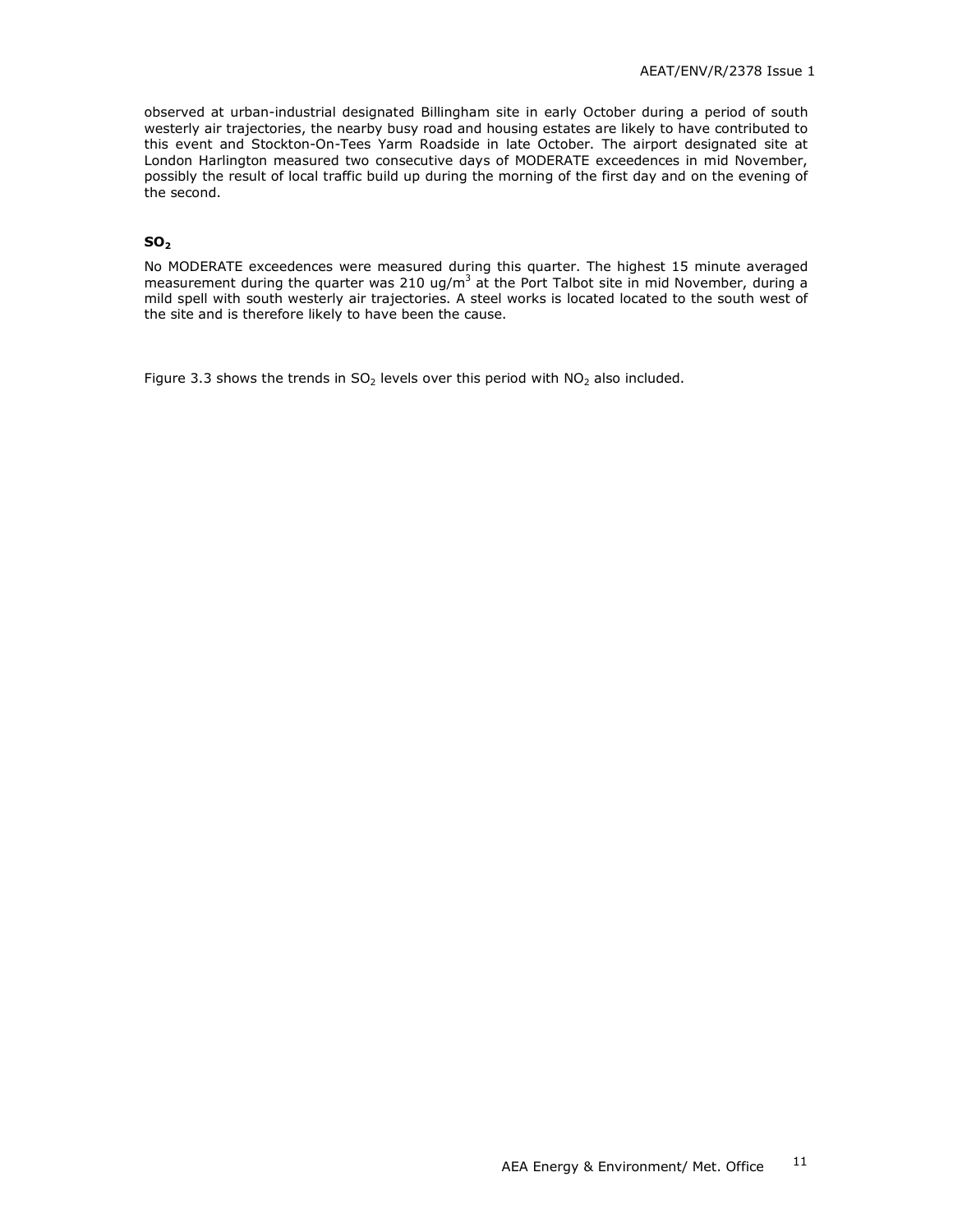observed at urban-industrial designated Billingham site in early October during a period of south westerly air trajectories, the nearby busy road and housing estates are likely to have contributed to this event and Stockton-On-Tees Yarm Roadside in late October. The airport designated site at London Harlington measured two consecutive days of MODERATE exceedences in mid November, possibly the result of local traffic build up during the morning of the first day and on the evening of the second.

#### $SO<sub>2</sub>$

No MODERATE exceedences were measured during this quarter. The highest 15 minute averaged measurement during the quarter was 210 ug/m<sup>3</sup> at the Port Talbot site in mid November, during a mild spell with south westerly air trajectories. A steel works is located located to the south west of the site and is therefore likely to have been the cause.

Figure 3.3 shows the trends in  $SO_2$  levels over this period with  $NO_2$  also included.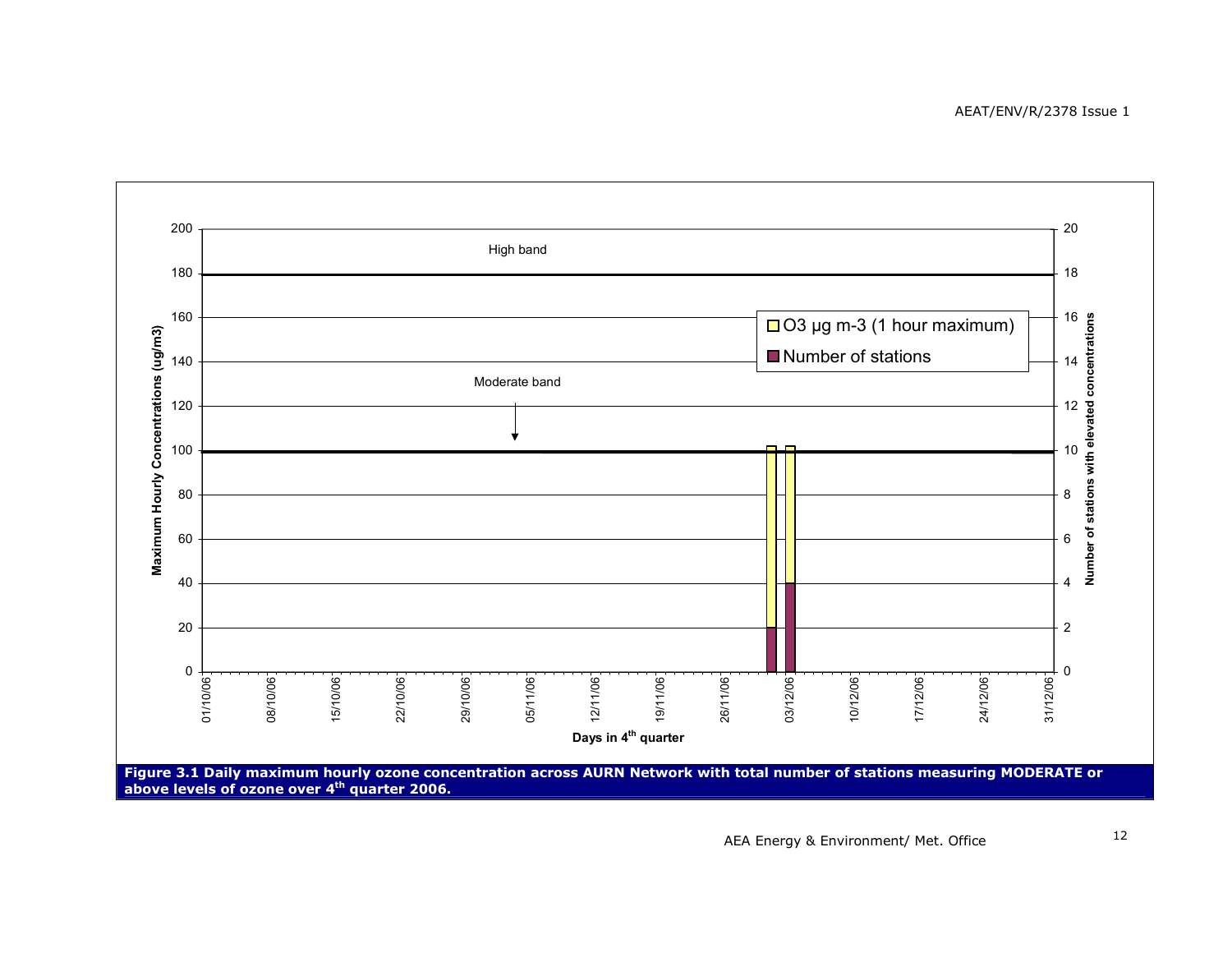

AEA Energy & Environment/ Met. Officee <sup>12</sup>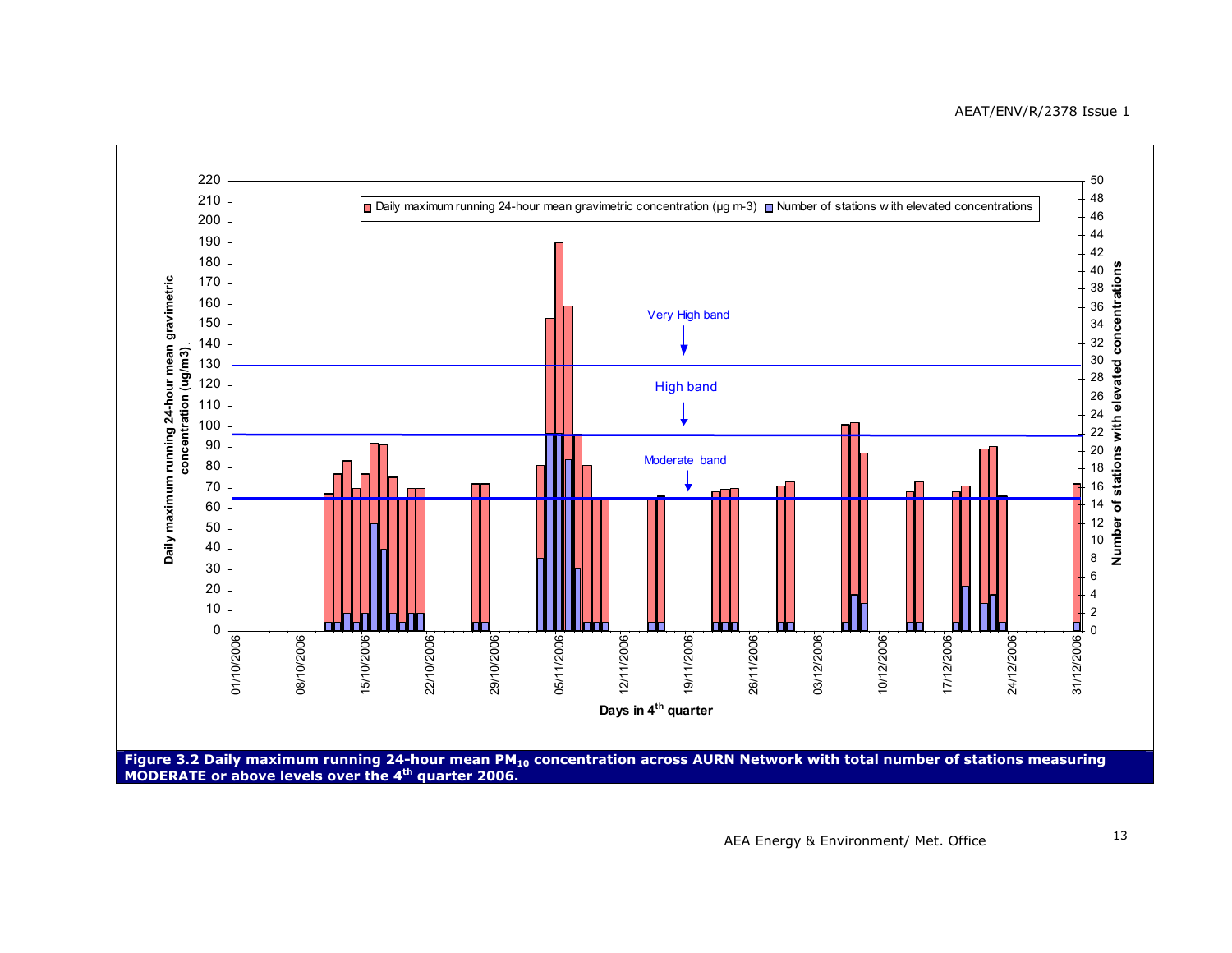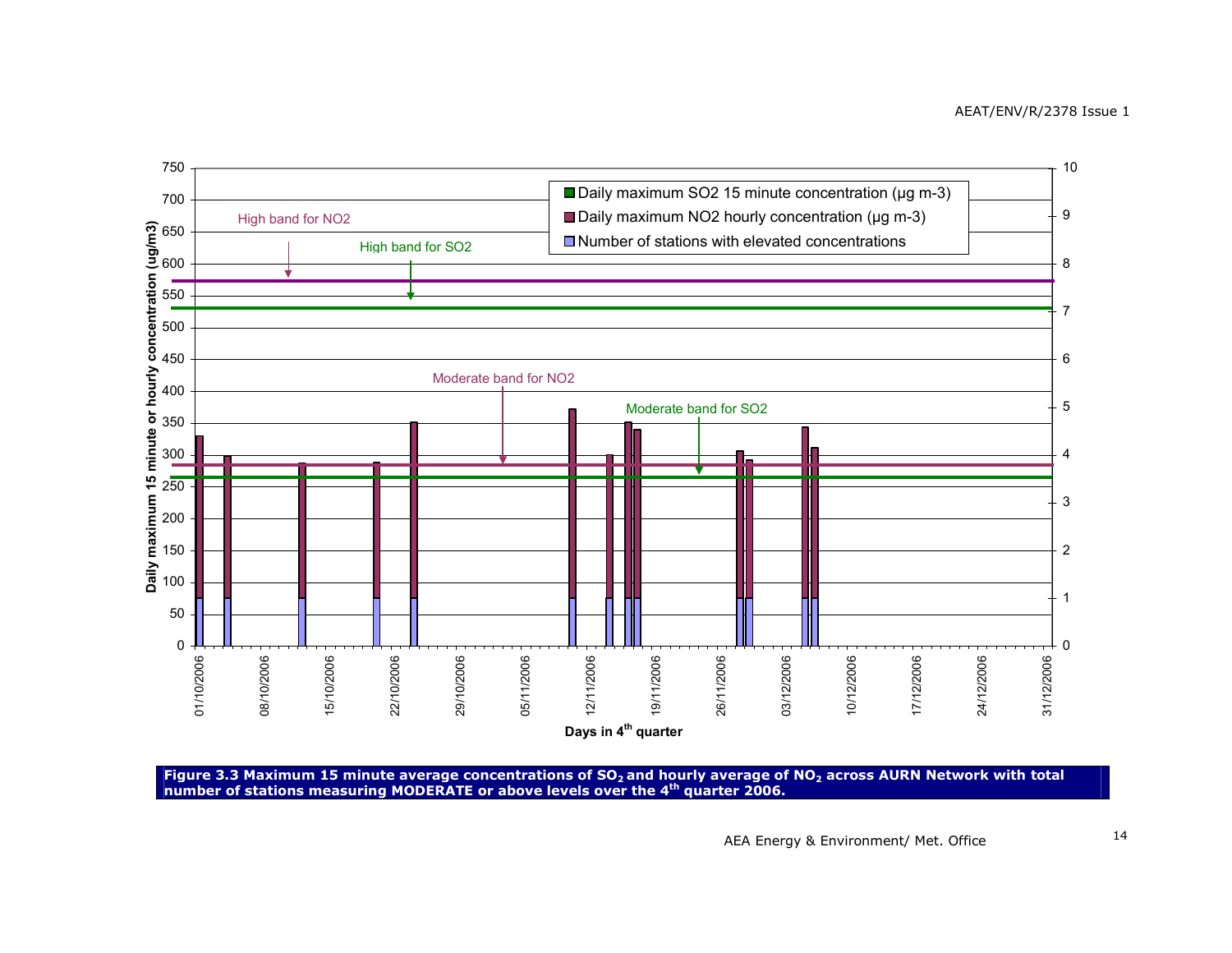

Figure 3.3 Maximum 15 minute average concentrations of SO<sub>2</sub> and hourly average of NO<sub>2</sub> across AURN Network with total<br>number of stations measuring MODERATE or above levels over the 4<sup>th</sup> quarter 2006.

AEA Energy & Environment/ Met. Office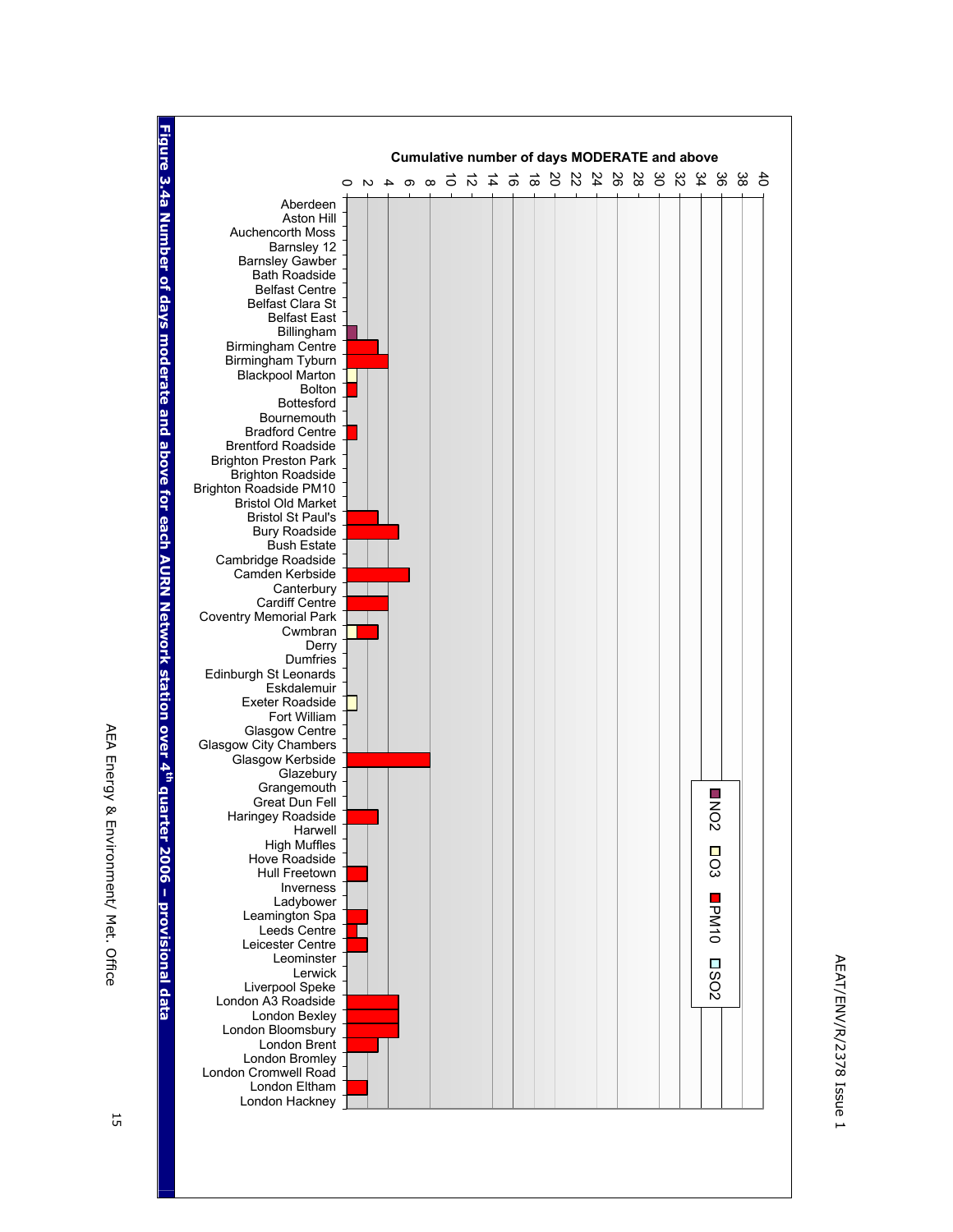



AEA Energy & Environment/ Met. Office

AEA Energy & Environment/ Met. Office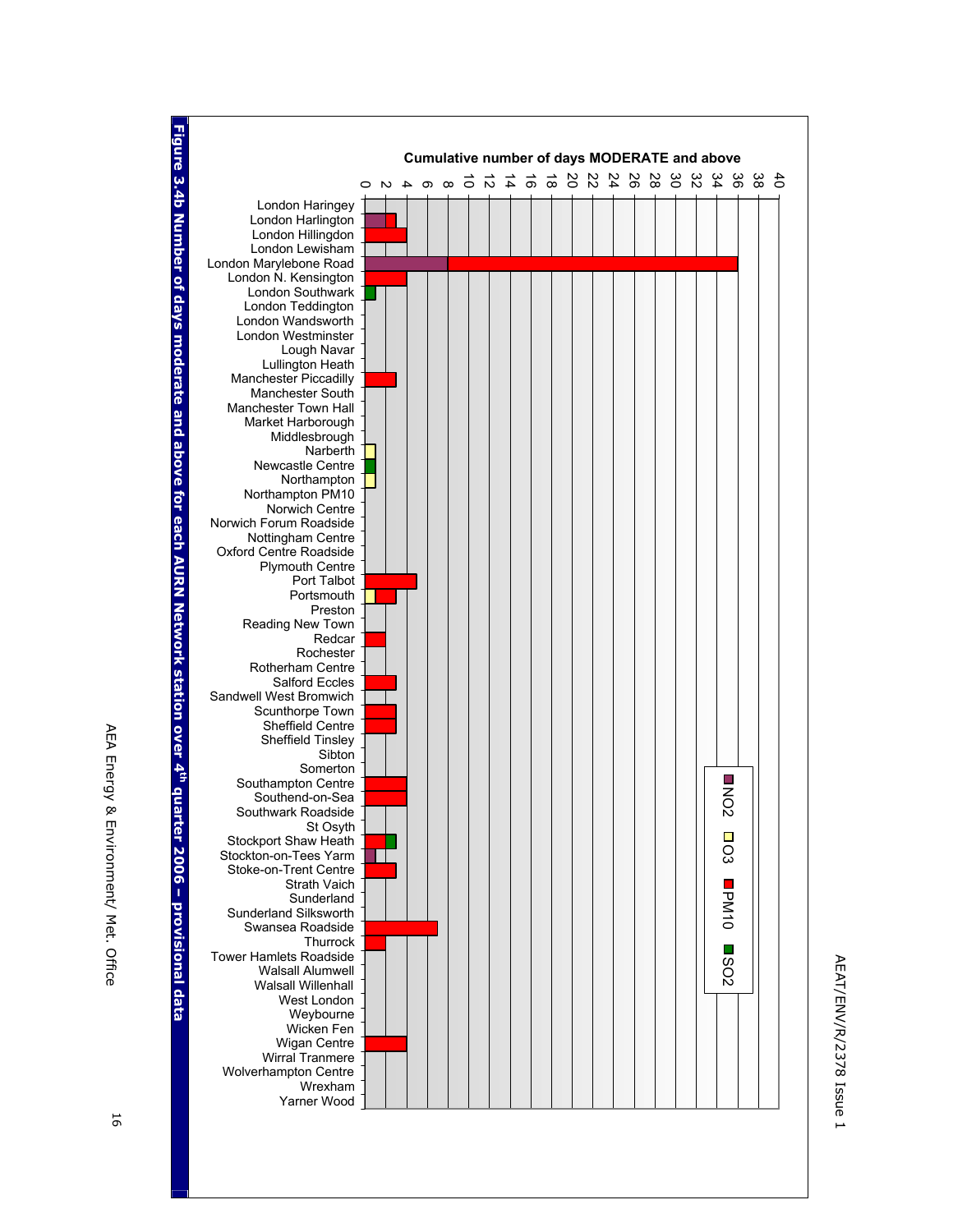

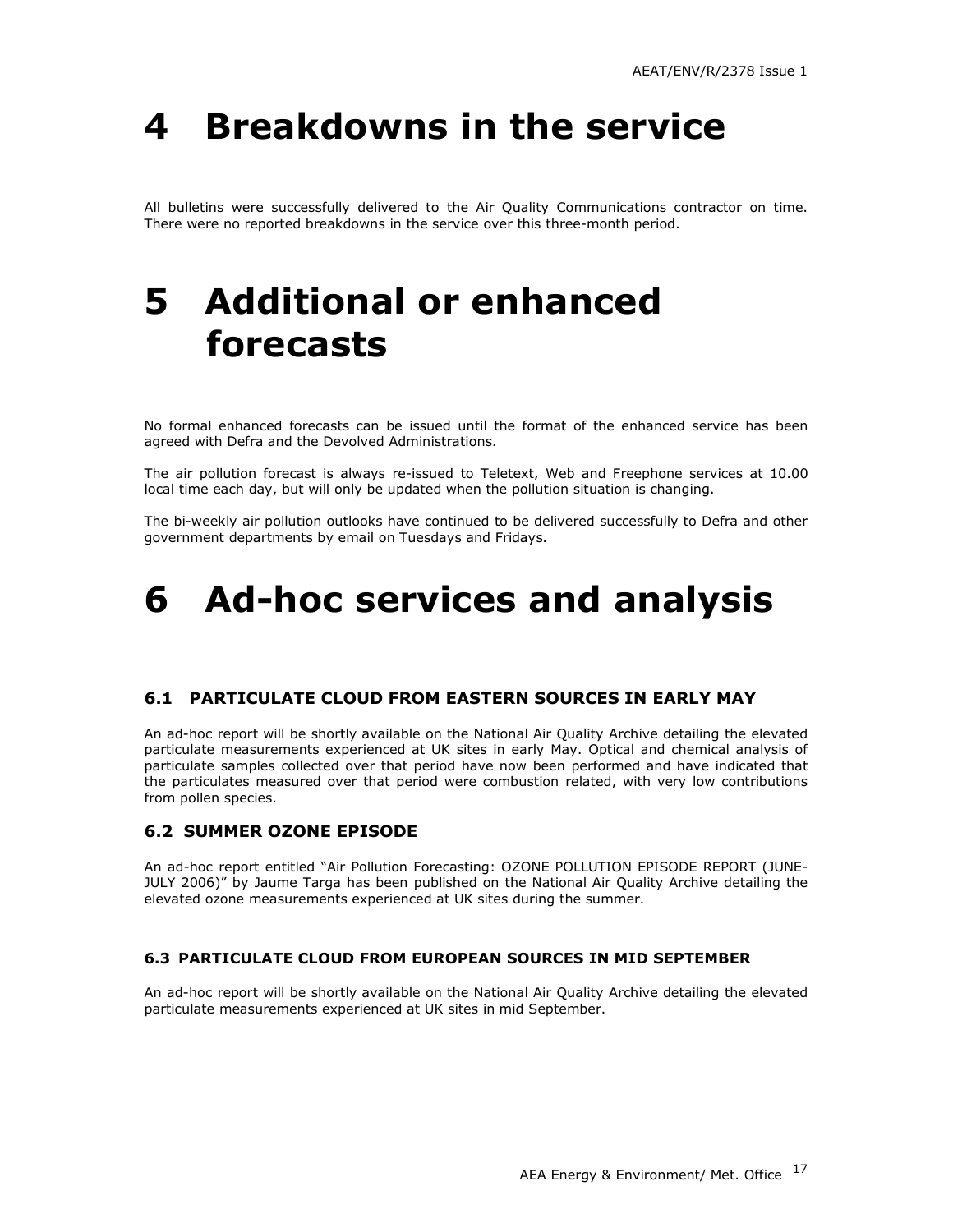# 4 Breakdowns in the service

All bulletins were successfully delivered to the Air Quality Communications contractor on time. There were no reported breakdowns in the service over this three-month period.

## 5 Additional or enhanced forecasts

No formal enhanced forecasts can be issued until the format of the enhanced service has been agreed with Defra and the Devolved Administrations.

The air pollution forecast is always re-issued to Teletext, Web and Freephone services at 10.00 local time each day, but will only be updated when the pollution situation is changing.

The bi-weekly air pollution outlooks have continued to be delivered successfully to Defra and other government departments by email on Tuesdays and Fridays.

### 6 Ad-hoc services and analysis

#### 6.1 PARTICULATE CLOUD FROM EASTERN SOURCES IN EARLY MAY

An ad-hoc report will be shortly available on the National Air Quality Archive detailing the elevated particulate measurements experienced at UK sites in early May. Optical and chemical analysis of particulate samples collected over that period have now been performed and have indicated that the particulates measured over that period were combustion related, with very low contributions from pollen species.

#### 6.2 SUMMER OZONE EPISODE

An ad-hoc report entitled "Air Pollution Forecasting: OZONE POLLUTION EPISODE REPORT (JUNE-JULY 2006)" by Jaume Targa has been published on the National Air Quality Archive detailing the elevated ozone measurements experienced at UK sites during the summer.

#### 6.3 PARTICULATE CLOUD FROM EUROPEAN SOURCES IN MID SEPTEMBER

An ad-hoc report will be shortly available on the National Air Quality Archive detailing the elevated particulate measurements experienced at UK sites in mid September.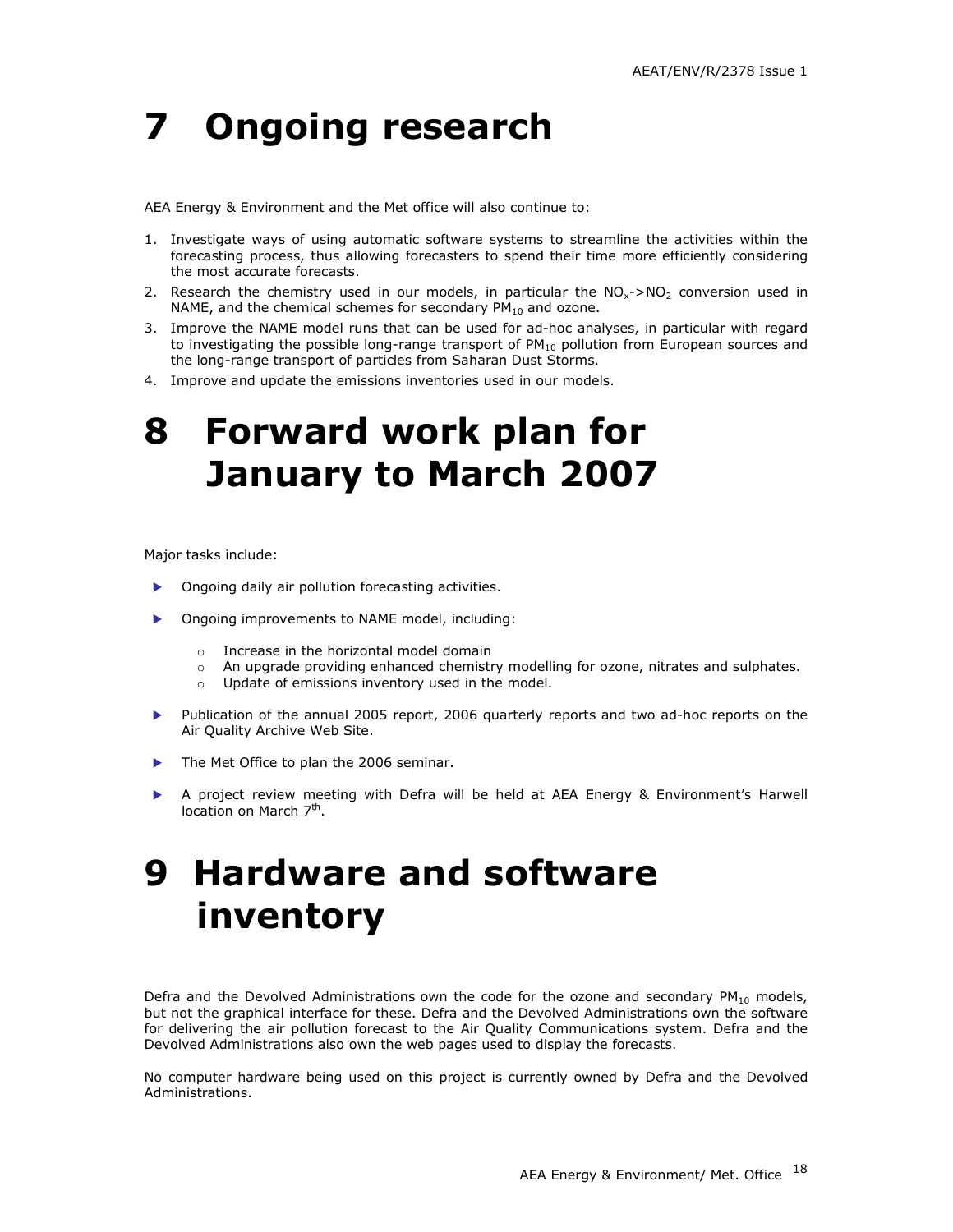## 7 Ongoing research

AEA Energy & Environment and the Met office will also continue to:

- 1. Investigate ways of using automatic software systems to streamline the activities within the forecasting process, thus allowing forecasters to spend their time more efficiently considering the most accurate forecasts.
- 2. Research the chemistry used in our models, in particular the  $NO<sub>x</sub>$ ->NO<sub>2</sub> conversion used in NAME, and the chemical schemes for secondary  $PM_{10}$  and ozone.
- 3. Improve the NAME model runs that can be used for ad-hoc analyses, in particular with regard to investigating the possible long-range transport of  $PM_{10}$  pollution from European sources and the long-range transport of particles from Saharan Dust Storms.
- 4. Improve and update the emissions inventories used in our models.

## 8 Forward work plan for January to March 2007

Major tasks include:

- **Demoglering Department Channel Property** Ongoing daily air pollution forecasting activities.
- Ongoing improvements to NAME model, including:
	- o Increase in the horizontal model domain
	- o An upgrade providing enhanced chemistry modelling for ozone, nitrates and sulphates.
	- o Update of emissions inventory used in the model.
- Publication of the annual 2005 report, 2006 quarterly reports and two ad-hoc reports on the Air Quality Archive Web Site.
- The Met Office to plan the 2006 seminar.
- A project review meeting with Defra will be held at AEA Energy & Environment's Harwell location on March 7<sup>th</sup>.

### 9 Hardware and software inventory

Defra and the Devolved Administrations own the code for the ozone and secondary  $PM_{10}$  models, but not the graphical interface for these. Defra and the Devolved Administrations own the software for delivering the air pollution forecast to the Air Quality Communications system. Defra and the Devolved Administrations also own the web pages used to display the forecasts.

No computer hardware being used on this project is currently owned by Defra and the Devolved Administrations.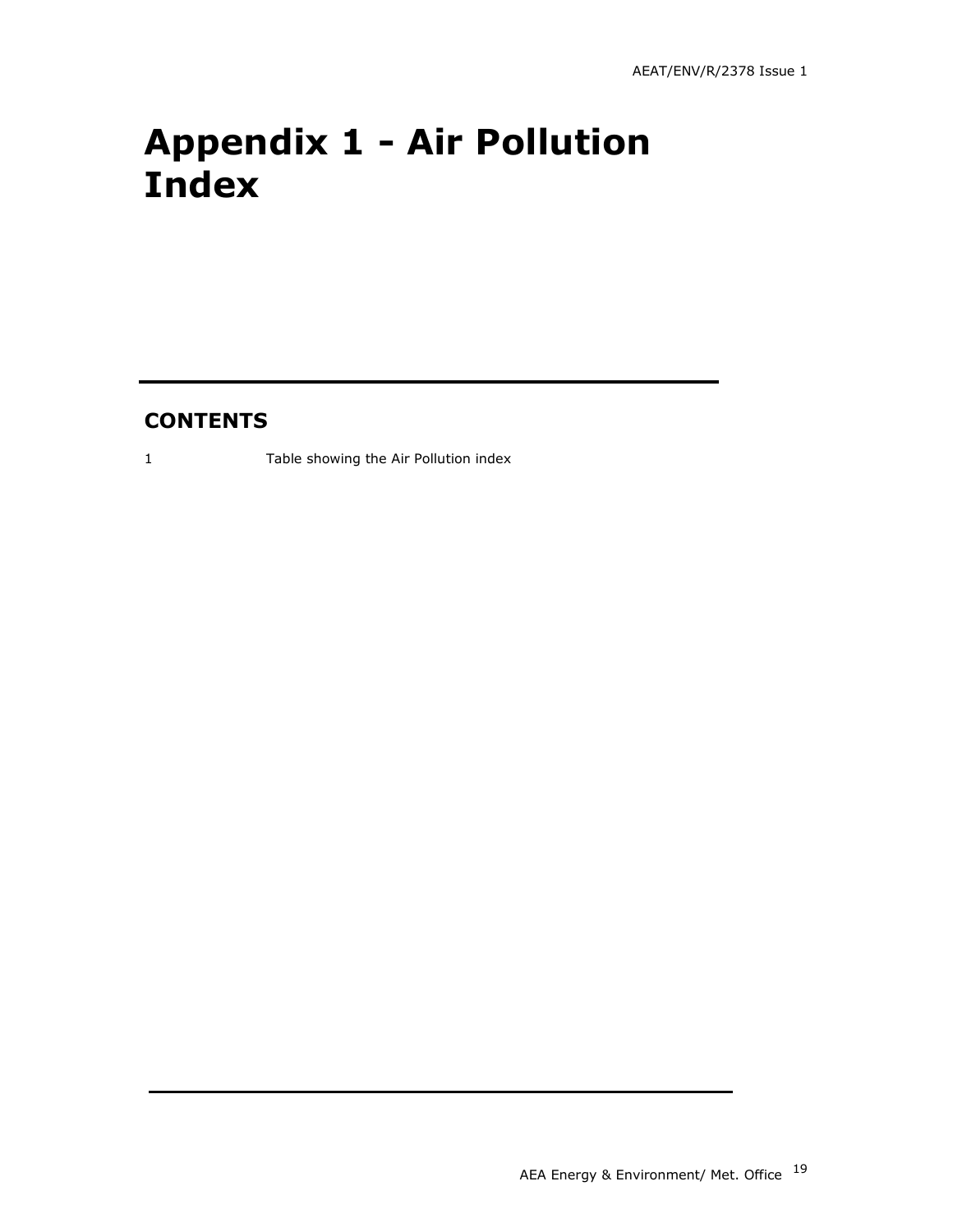## Appendix 1 - Air Pollution Index

### **CONTENTS**

1 Table showing the Air Pollution index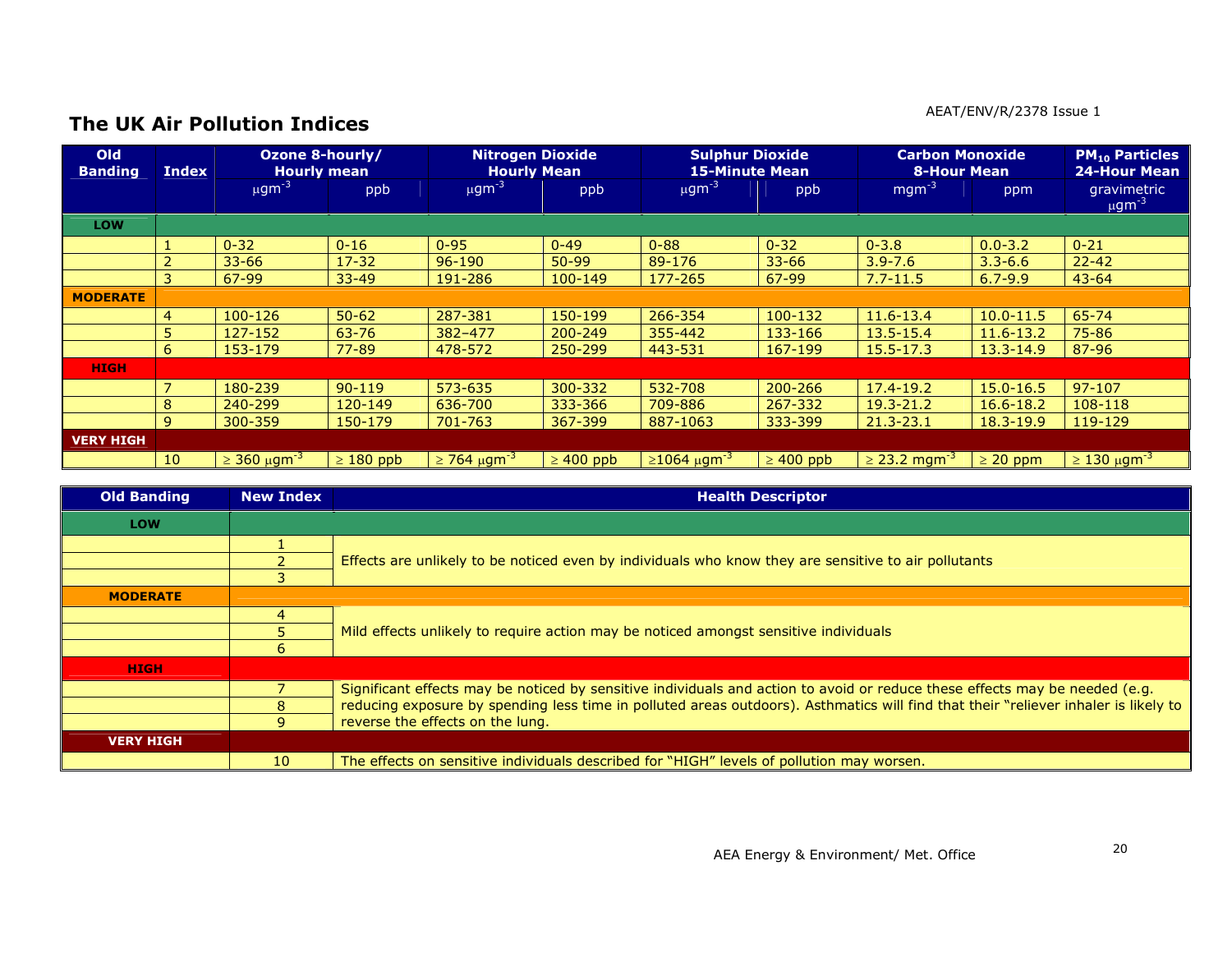#### AEAT/ENV/R/2378 Issue 1

### The UK Air Pollution Indices

| Old<br><b>Banding</b> | <b>Index</b>    | Ozone 8-hourly/<br><b>Hourly mean</b> |                | <b>Nitrogen Dioxide</b><br><b>Hourly Mean</b> |                | <b>Sulphur Dioxide</b><br><b>15-Minute Mean</b> |                | <b>Carbon Monoxide</b><br><b>8-Hour Mean</b> |               | <b>PM<sub>10</sub> Particles</b><br><b>24-Hour Mean</b> |
|-----------------------|-----------------|---------------------------------------|----------------|-----------------------------------------------|----------------|-------------------------------------------------|----------------|----------------------------------------------|---------------|---------------------------------------------------------|
|                       |                 | $\mu$ gm <sup>-3</sup>                | ppb            | $\mu$ gm <sup>-3</sup>                        | ppb            | $\mu$ gm <sup>-3</sup>                          | ppb            | $mgm^{-3}$                                   | ppm           | gravimetric<br>$\mu$ gm <sup>-3</sup>                   |
| LOW                   |                 |                                       |                |                                               |                |                                                 |                |                                              |               |                                                         |
|                       |                 | $0 - 32$                              | $0 - 16$       | $0 - 95$                                      | $0 - 49$       | $0 - 88$                                        | $0 - 32$       | $0 - 3.8$                                    | $0.0 - 3.2$   | $0 - 21$                                                |
|                       |                 | $33 - 66$                             | $17 - 32$      | $96 - 190$                                    | $50 - 99$      | 89-176                                          | $33 - 66$      | $3.9 - 7.6$                                  | $3.3 - 6.6$   | $22 - 42$                                               |
|                       | 3               | 67-99                                 | $33 - 49$      | 191-286                                       | $100 - 149$    | 177-265                                         | 67-99          | $7.7 - 11.5$                                 | $6.7 - 9.9$   | $43 - 64$                                               |
| <b>MODERATE</b>       |                 |                                       |                |                                               |                |                                                 |                |                                              |               |                                                         |
|                       | $\overline{4}$  | 100-126                               | $50 - 62$      | 287-381                                       | 150-199        | 266-354                                         | 100-132        | 11.6-13.4                                    | $10.0 - 11.5$ | 65-74                                                   |
|                       | 5               | 127-152                               | $63 - 76$      | $382 - 477$                                   | 200-249        | 355-442                                         | 133-166        | 13.5-15.4                                    | 11.6-13.2     | 75-86                                                   |
|                       | 6               | 153-179                               | $77 - 89$      | 478-572                                       | 250-299        | 443-531                                         | 167-199        | $15.5 - 17.3$                                | $13.3 - 14.9$ | 87-96                                                   |
| <b>HIGH</b>           |                 |                                       |                |                                               |                |                                                 |                |                                              |               |                                                         |
|                       | $\overline{7}$  | 180-239                               | $90 - 119$     | 573-635                                       | 300-332        | 532-708                                         | 200-266        | 17.4-19.2                                    | $15.0 - 16.5$ | $97 - 107$                                              |
|                       | 8               | 240-299                               | 120-149        | 636-700                                       | 333-366        | 709-886                                         | 267-332        | $19.3 - 21.2$                                | $16.6 - 18.2$ | 108-118                                                 |
|                       | 9               | 300-359                               | 150-179        | 701-763                                       | 367-399        | 887-1063                                        | 333-399        | $21.3 - 23.1$                                | $18.3 - 19.9$ | 119-129                                                 |
| <b>VERY HIGH</b>      |                 |                                       |                |                                               |                |                                                 |                |                                              |               |                                                         |
|                       | 10 <sup>°</sup> | $\geq$ 360 μgm <sup>-3</sup>          | $\geq 180$ ppb | $\geq$ 764 μgm <sup>-3</sup>                  | $\geq 400$ ppb | $\geq 1064 \ \mu \text{gm}^{-3}$                | $\geq 400$ ppb | $\geq$ 23.2 mgm <sup>-3</sup>                | $\geq$ 20 ppm | $\geq$ 130 μgm <sup>-3</sup>                            |

| <b>Old Banding</b> | <b>New Index</b> | <b>Health Descriptor</b>                                                                                                            |  |  |  |  |  |  |
|--------------------|------------------|-------------------------------------------------------------------------------------------------------------------------------------|--|--|--|--|--|--|
| <b>LOW</b>         |                  |                                                                                                                                     |  |  |  |  |  |  |
|                    |                  |                                                                                                                                     |  |  |  |  |  |  |
|                    |                  | Effects are unlikely to be noticed even by individuals who know they are sensitive to air pollutants                                |  |  |  |  |  |  |
|                    |                  |                                                                                                                                     |  |  |  |  |  |  |
| <b>MODERATE</b>    |                  |                                                                                                                                     |  |  |  |  |  |  |
|                    |                  |                                                                                                                                     |  |  |  |  |  |  |
|                    |                  | Mild effects unlikely to require action may be noticed amongst sensitive individuals                                                |  |  |  |  |  |  |
|                    | 6                |                                                                                                                                     |  |  |  |  |  |  |
| <b>HIGH</b>        |                  |                                                                                                                                     |  |  |  |  |  |  |
|                    |                  | Significant effects may be noticed by sensitive individuals and action to avoid or reduce these effects may be needed (e.g.         |  |  |  |  |  |  |
|                    |                  | reducing exposure by spending less time in polluted areas outdoors). Asthmatics will find that their "reliever inhaler is likely to |  |  |  |  |  |  |
|                    | q                | reverse the effects on the lung.                                                                                                    |  |  |  |  |  |  |
| <b>VERY HIGH</b>   |                  |                                                                                                                                     |  |  |  |  |  |  |
|                    | 10 <sup>°</sup>  | The effects on sensitive individuals described for "HIGH" levels of pollution may worsen.                                           |  |  |  |  |  |  |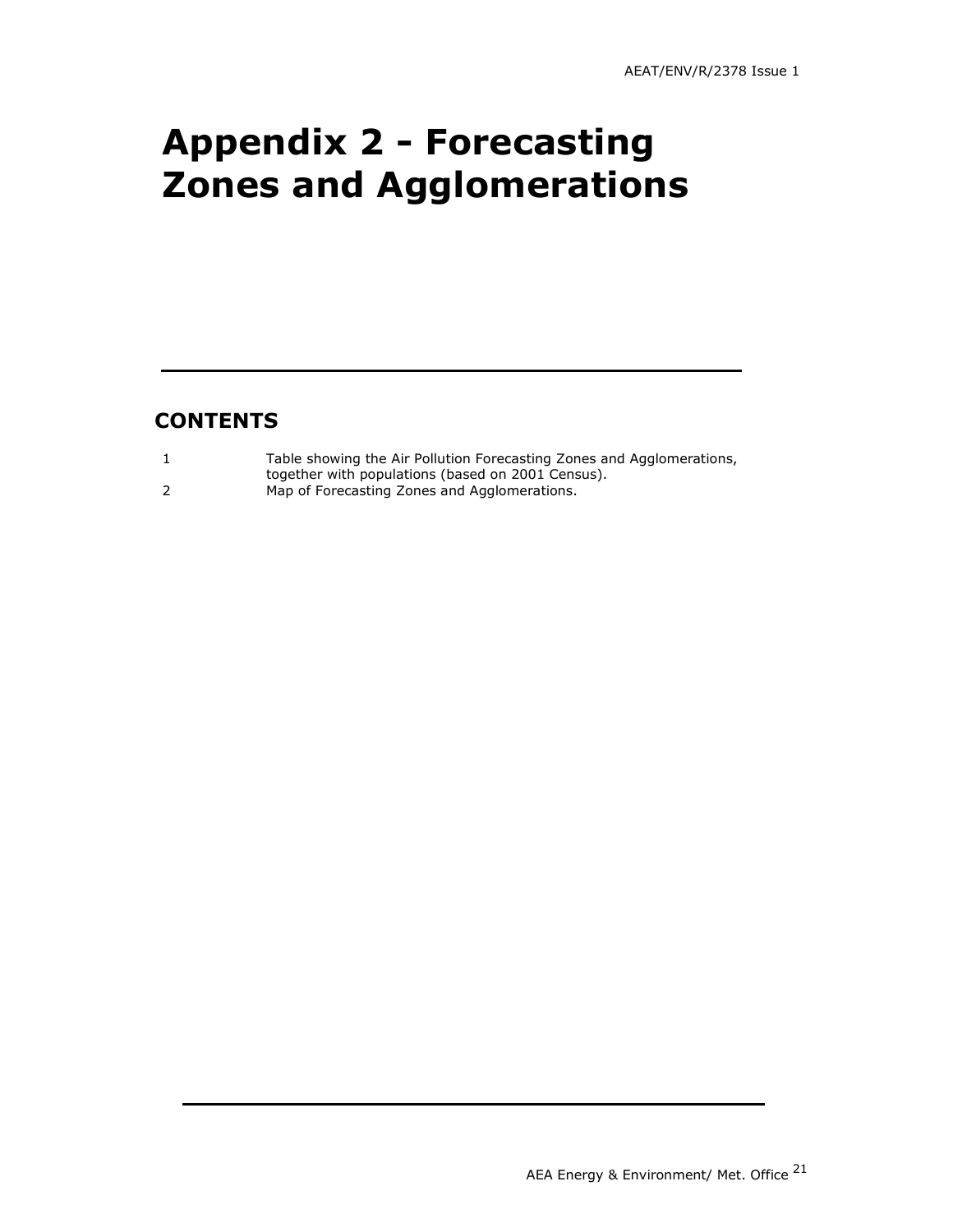## Appendix 2 - Forecasting Zones and Agglomerations

### **CONTENTS**

| Table showing the Air Pollution Forecasting Zones and Agglomerations, |
|-----------------------------------------------------------------------|
| together with populations (based on 2001 Census).                     |
| Map of Forecasting Zones and Agglomerations.                          |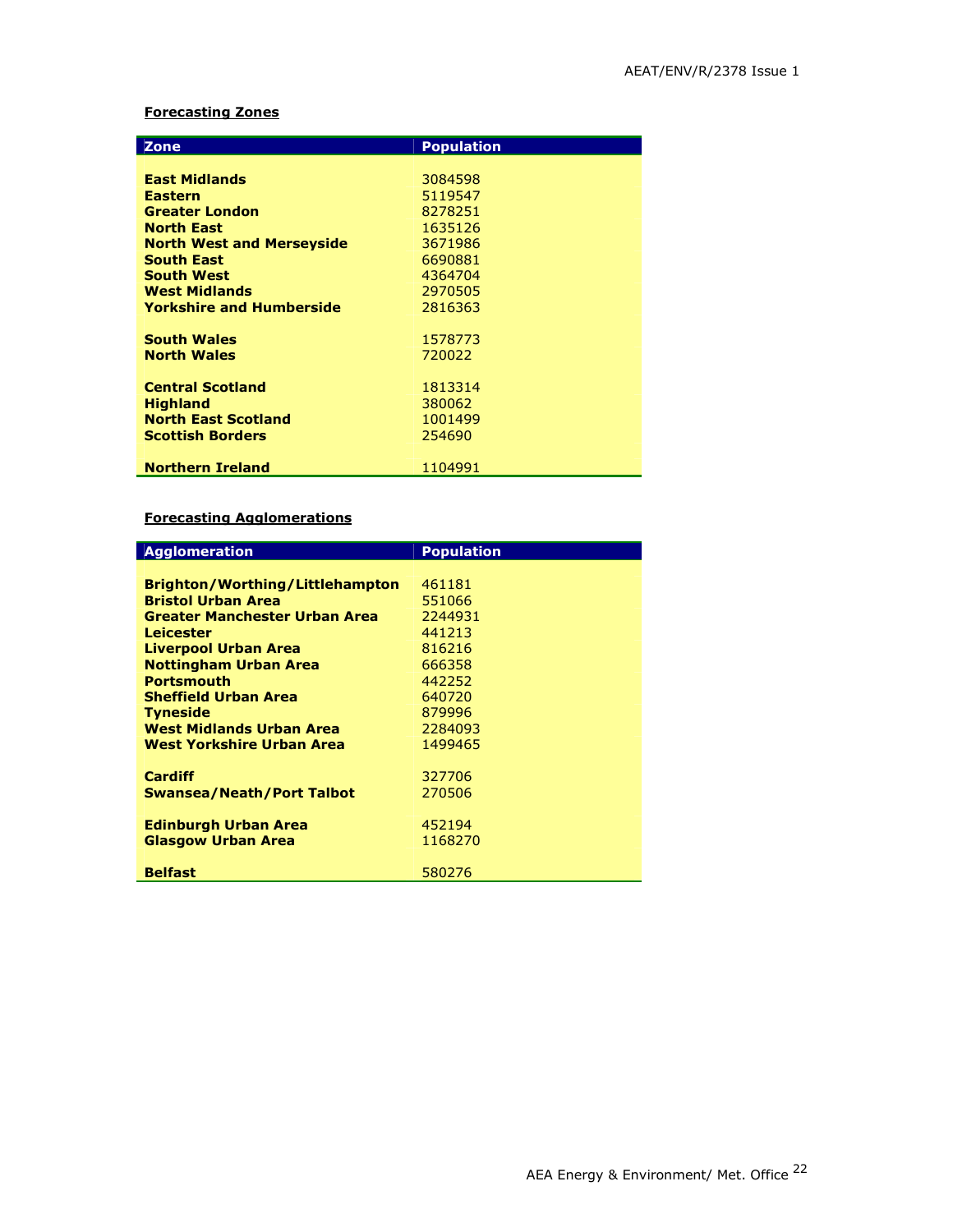### Forecasting Zones

| <b>Zone</b>                      | <b>Population</b> |
|----------------------------------|-------------------|
|                                  |                   |
| <b>East Midlands</b>             | 3084598           |
| <b>Eastern</b>                   | 5119547           |
| <b>Greater London</b>            | 8278251           |
| <b>North East</b>                | 1635126           |
| <b>North West and Merseyside</b> | 3671986           |
| <b>South East</b>                | 6690881           |
| <b>South West</b>                |                   |
|                                  | 4364704           |
| <b>West Midlands</b>             | 2970505           |
| <b>Yorkshire and Humberside</b>  | 2816363           |
|                                  |                   |
| <b>South Wales</b>               | 1578773           |
| <b>North Wales</b>               | 720022            |
|                                  |                   |
| <b>Central Scotland</b>          | 1813314           |
| <b>Highland</b>                  | 380062            |
| <b>North East Scotland</b>       | 1001499           |
| <b>Scottish Borders</b>          | 254690            |
|                                  |                   |
| <b>Northern Ireland</b>          | 1104991           |

### Forecasting Agglomerations

| <b>Agglomeration</b>                   | <b>Population</b> |
|----------------------------------------|-------------------|
|                                        |                   |
| <b>Brighton/Worthing/Littlehampton</b> | 461181            |
| <b>Bristol Urban Area</b>              | 551066            |
| <b>Greater Manchester Urban Area</b>   | 2244931           |
| <b>Leicester</b>                       | 441213            |
| <b>Liverpool Urban Area</b>            | 816216            |
| <b>Nottingham Urban Area</b>           | 666358            |
| <b>Portsmouth</b>                      | 442252            |
| <b>Sheffield Urban Area</b>            | 640720            |
| <b>Tyneside</b>                        | 879996            |
| West Midlands Urban Area               | 2284093           |
| West Yorkshire Urban Area              | 1499465           |
|                                        |                   |
| <b>Cardiff</b>                         | 327706            |
| Swansea/Neath/Port Talbot              | 270506            |
|                                        |                   |
| <b>Edinburgh Urban Area</b>            | 452194            |
| <b>Glasgow Urban Area</b>              | 1168270           |
|                                        |                   |
| <b>Belfast</b>                         | 580276            |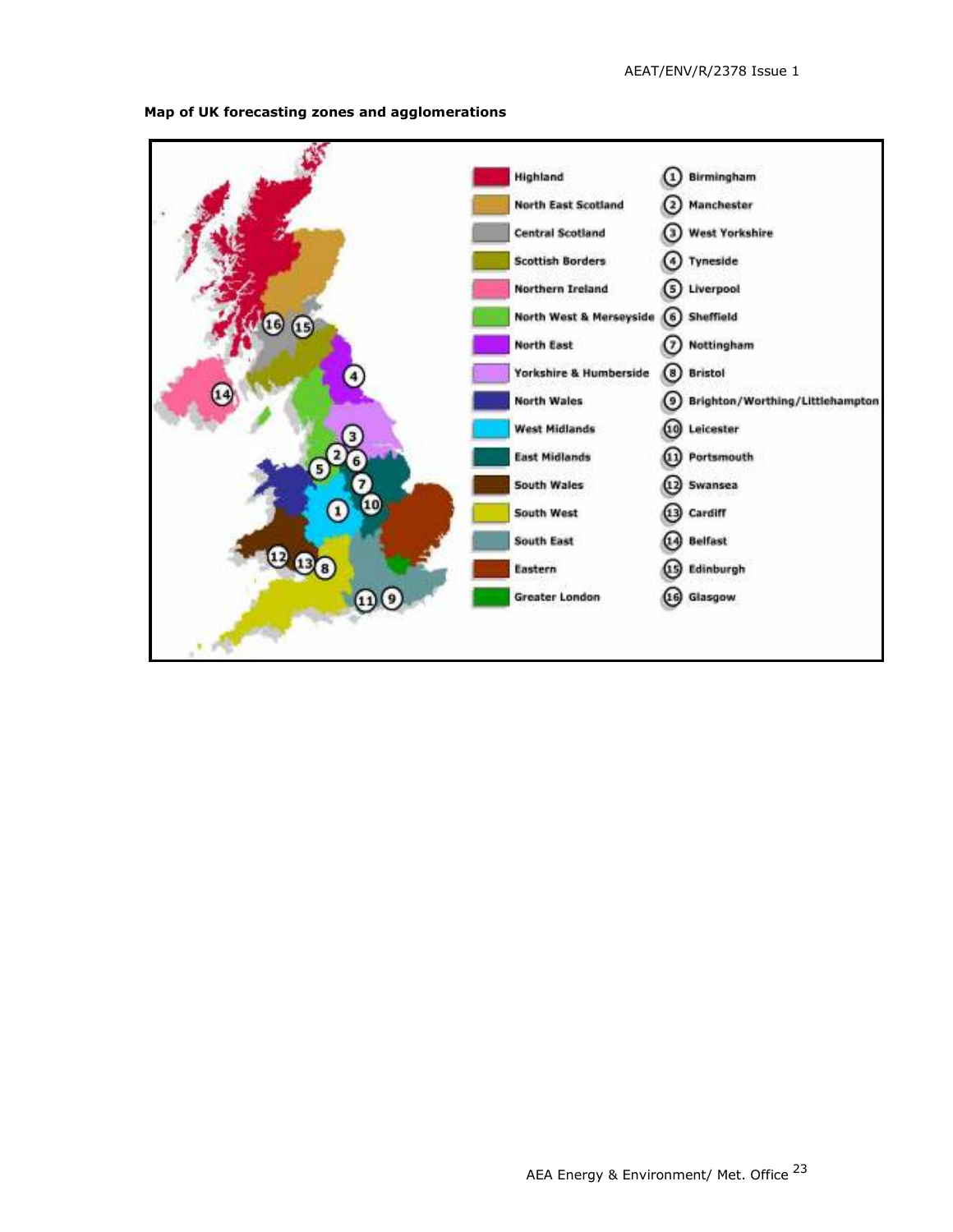

#### Map of UK forecasting zones and agglomerations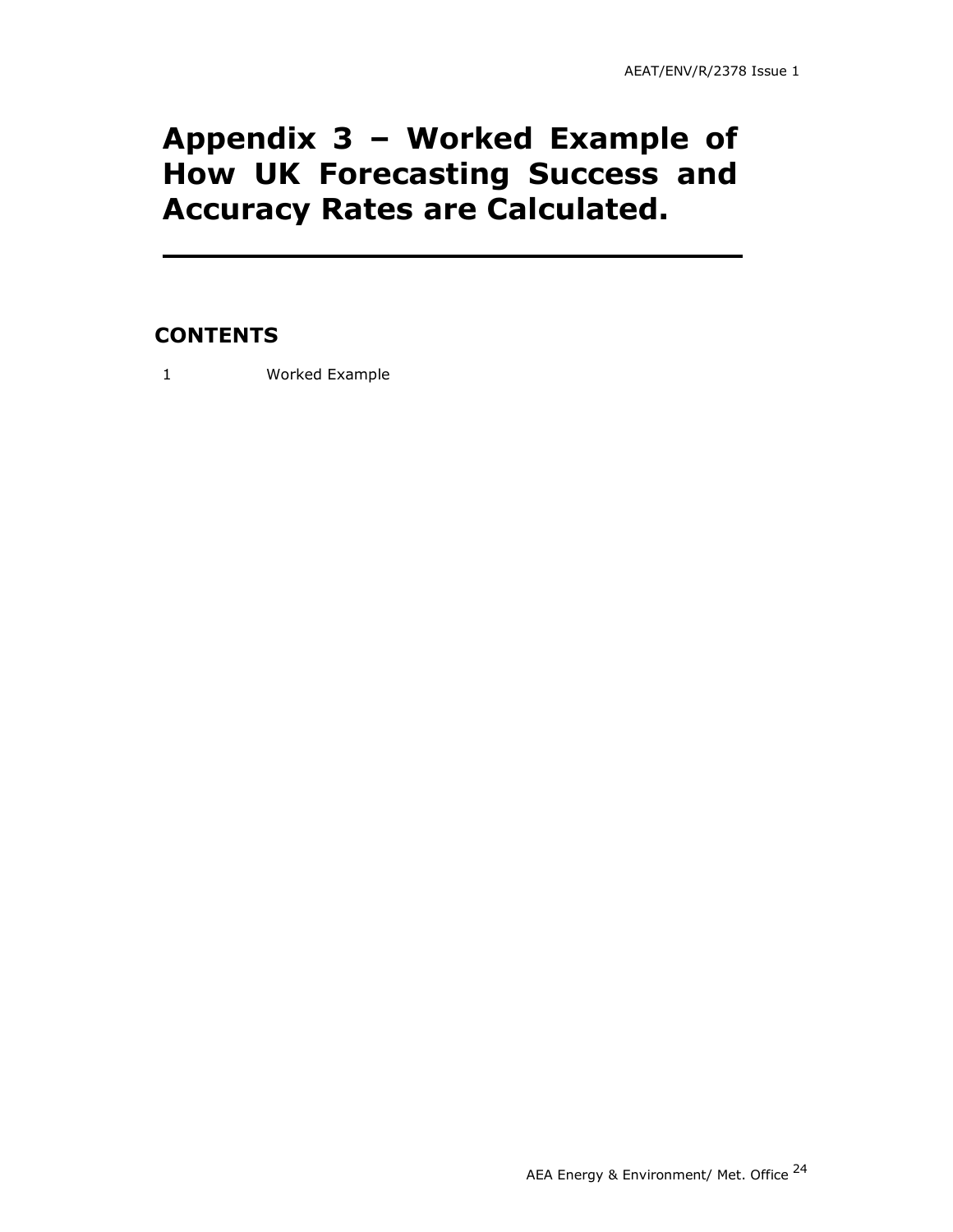### Appendix 3 – Worked Example of How UK Forecasting Success and Accuracy Rates are Calculated.

### **CONTENTS**

1 Worked Example